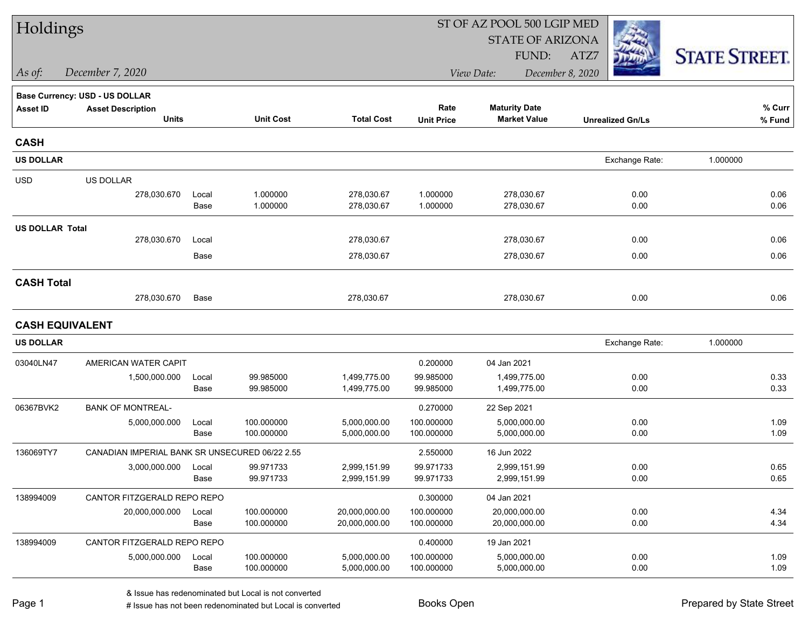| Holdings               |                                                |               |                        |                              |                        | ST OF AZ POOL 500 LGIP MED   |                         |                      |
|------------------------|------------------------------------------------|---------------|------------------------|------------------------------|------------------------|------------------------------|-------------------------|----------------------|
|                        |                                                |               |                        |                              |                        | <b>STATE OF ARIZONA</b>      |                         |                      |
|                        |                                                |               |                        |                              |                        | FUND:                        | ATZ7                    | <b>STATE STREET.</b> |
| As of:                 | December 7, 2020                               |               |                        |                              |                        | View Date:                   | December 8, 2020        |                      |
|                        | Base Currency: USD - US DOLLAR                 |               |                        |                              |                        |                              |                         |                      |
| <b>Asset ID</b>        | <b>Asset Description</b>                       |               |                        |                              | Rate                   | <b>Maturity Date</b>         |                         | % Curr               |
|                        | <b>Units</b>                                   |               | <b>Unit Cost</b>       | <b>Total Cost</b>            | <b>Unit Price</b>      | <b>Market Value</b>          | <b>Unrealized Gn/Ls</b> | % Fund               |
| <b>CASH</b>            |                                                |               |                        |                              |                        |                              |                         |                      |
| <b>US DOLLAR</b>       |                                                |               |                        |                              |                        |                              | Exchange Rate:          | 1.000000             |
| <b>USD</b>             | US DOLLAR                                      |               |                        |                              |                        |                              |                         |                      |
|                        | 278,030.670                                    | Local         | 1.000000               | 278,030.67                   | 1.000000               | 278,030.67                   | 0.00                    | 0.06                 |
|                        |                                                | Base          | 1.000000               | 278,030.67                   | 1.000000               | 278,030.67                   | 0.00                    | 0.06                 |
| <b>US DOLLAR Total</b> |                                                |               |                        |                              |                        |                              |                         |                      |
|                        | 278,030.670                                    | Local         |                        | 278,030.67                   |                        | 278,030.67                   | 0.00                    | 0.06                 |
|                        |                                                | Base          |                        | 278,030.67                   |                        | 278,030.67                   | 0.00                    | 0.06                 |
| <b>CASH Total</b>      |                                                |               |                        |                              |                        |                              |                         |                      |
|                        | 278,030.670                                    | Base          |                        | 278,030.67                   |                        | 278,030.67                   | 0.00                    | 0.06                 |
| <b>CASH EQUIVALENT</b> |                                                |               |                        |                              |                        |                              |                         |                      |
| <b>US DOLLAR</b>       |                                                |               |                        |                              |                        |                              | Exchange Rate:          | 1.000000             |
| 03040LN47              | AMERICAN WATER CAPIT                           |               |                        |                              | 0.200000               | 04 Jan 2021                  |                         |                      |
|                        | 1,500,000.000                                  | Local         | 99.985000              | 1,499,775.00                 | 99.985000              | 1,499,775.00                 | 0.00                    | 0.33                 |
|                        |                                                | Base          | 99.985000              | 1,499,775.00                 | 99.985000              | 1,499,775.00                 | 0.00                    | 0.33                 |
| 06367BVK2              | <b>BANK OF MONTREAL-</b>                       |               |                        |                              | 0.270000               | 22 Sep 2021                  |                         |                      |
|                        | 5,000,000.000                                  | Local         | 100.000000             | 5,000,000.00                 | 100.000000             | 5,000,000.00                 | 0.00                    | 1.09                 |
|                        |                                                | Base          | 100.000000             | 5,000,000.00                 | 100.000000             | 5,000,000.00                 | 0.00                    | 1.09                 |
| 136069TY7              | CANADIAN IMPERIAL BANK SR UNSECURED 06/22 2.55 |               |                        |                              | 2.550000               | 16 Jun 2022                  |                         |                      |
|                        | 3,000,000.000                                  | Local<br>Base | 99.971733<br>99.971733 | 2,999,151.99<br>2,999,151.99 | 99.971733<br>99.971733 | 2,999,151.99<br>2,999,151.99 | 0.00<br>0.00            | 0.65<br>0.65         |
|                        |                                                |               |                        |                              |                        |                              |                         |                      |
| 138994009              | CANTOR FITZGERALD REPO REPO<br>20,000,000.000  | Local         | 100.000000             | 20,000,000.00                | 0.300000<br>100.000000 | 04 Jan 2021<br>20,000,000.00 | 0.00                    | 4.34                 |
|                        |                                                | Base          | 100.000000             | 20,000,000.00                | 100.000000             | 20,000,000.00                | 0.00                    | 4.34                 |
| 138994009              | CANTOR FITZGERALD REPO REPO                    |               |                        |                              | 0.400000               | 19 Jan 2021                  |                         |                      |
|                        | 5,000,000.000                                  | Local         | 100.000000             | 5,000,000.00                 | 100.000000             | 5,000,000.00                 | 0.00                    | 1.09                 |
|                        |                                                | Base          | 100.000000             | 5,000,000.00                 | 100.000000             | 5,000,000.00                 | 0.00                    | 1.09                 |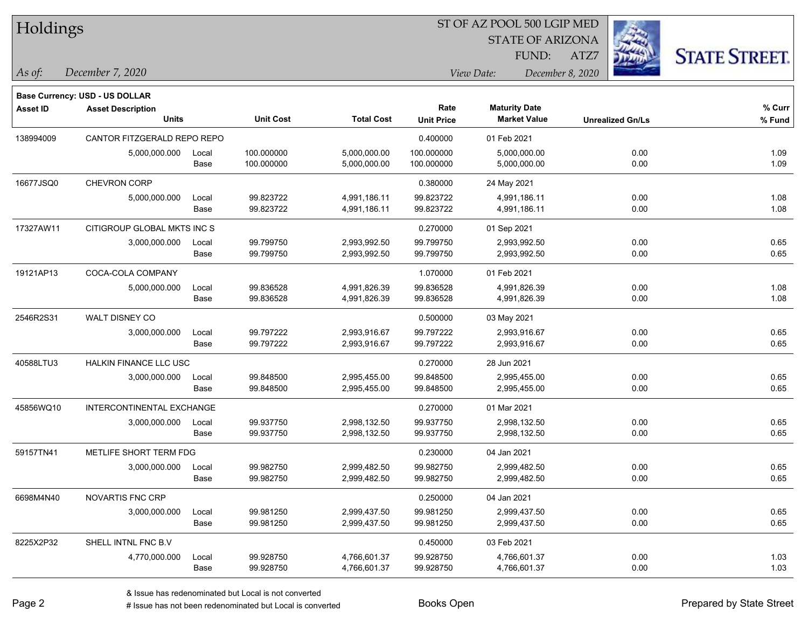| Holdings |
|----------|
|----------|

STATE OF ARIZONA

ATZ7



*December 7, 2020 As of: View Date: December 8, 2020*

**Base Currency: USD - US DOLLAR**

| <b>Asset ID</b> | <b>Asset Description</b>      |       |                                       |              | Rate              | <b>Maturity Date</b> |                         | % Curr |
|-----------------|-------------------------------|-------|---------------------------------------|--------------|-------------------|----------------------|-------------------------|--------|
|                 | <b>Units</b>                  |       | <b>Unit Cost</b><br><b>Total Cost</b> |              | <b>Unit Price</b> | <b>Market Value</b>  | <b>Unrealized Gn/Ls</b> | % Fund |
| 138994009       | CANTOR FITZGERALD REPO REPO   |       |                                       |              | 0.400000          | 01 Feb 2021          |                         |        |
|                 | 5,000,000.000                 | Local | 100.000000                            | 5,000,000.00 | 100.000000        | 5,000,000.00         | 0.00                    | 1.09   |
|                 |                               | Base  | 100.000000                            | 5,000,000.00 | 100.000000        | 5,000,000.00         | 0.00                    | 1.09   |
| 16677JSQ0       | CHEVRON CORP                  |       |                                       |              | 0.380000          | 24 May 2021          |                         |        |
|                 | 5,000,000.000                 | Local | 99.823722                             | 4,991,186.11 | 99.823722         | 4,991,186.11         | 0.00                    | 1.08   |
|                 |                               | Base  | 99.823722                             | 4,991,186.11 | 99.823722         | 4,991,186.11         | 0.00                    | 1.08   |
| 17327AW11       | CITIGROUP GLOBAL MKTS INC S   |       |                                       |              | 0.270000          | 01 Sep 2021          |                         |        |
|                 | 3,000,000.000                 | Local | 99.799750                             | 2,993,992.50 | 99.799750         | 2,993,992.50         | 0.00                    | 0.65   |
|                 |                               | Base  | 99.799750                             | 2,993,992.50 | 99.799750         | 2,993,992.50         | 0.00                    | 0.65   |
| 19121AP13       | COCA-COLA COMPANY             |       |                                       |              | 1.070000          | 01 Feb 2021          |                         |        |
|                 | 5,000,000.000                 | Local | 99.836528                             | 4,991,826.39 | 99.836528         | 4,991,826.39         | 0.00                    | 1.08   |
|                 |                               | Base  | 99.836528                             | 4,991,826.39 | 99.836528         | 4,991,826.39         | 0.00                    | 1.08   |
| 2546R2S31       | WALT DISNEY CO                |       |                                       |              | 0.500000          | 03 May 2021          |                         |        |
|                 | 3,000,000.000                 | Local | 99.797222                             | 2,993,916.67 | 99.797222         | 2,993,916.67         | 0.00                    | 0.65   |
|                 |                               | Base  | 99.797222                             | 2,993,916.67 | 99.797222         | 2,993,916.67         | 0.00                    | 0.65   |
| 40588LTU3       | <b>HALKIN FINANCE LLC USC</b> |       |                                       |              | 0.270000          | 28 Jun 2021          |                         |        |
|                 | 3,000,000.000                 | Local | 99.848500                             | 2,995,455.00 | 99.848500         | 2,995,455.00         | 0.00                    | 0.65   |
|                 |                               | Base  | 99.848500                             | 2,995,455.00 | 99.848500         | 2,995,455.00         | 0.00                    | 0.65   |
| 45856WQ10       | INTERCONTINENTAL EXCHANGE     |       |                                       |              | 0.270000          | 01 Mar 2021          |                         |        |
|                 | 3,000,000.000                 | Local | 99.937750                             | 2,998,132.50 | 99.937750         | 2,998,132.50         | 0.00                    | 0.65   |
|                 |                               | Base  | 99.937750                             | 2,998,132.50 | 99.937750         | 2,998,132.50         | 0.00                    | 0.65   |
| 59157TN41       | METLIFE SHORT TERM FDG        |       |                                       |              | 0.230000          | 04 Jan 2021          |                         |        |
|                 | 3,000,000.000                 | Local | 99.982750                             | 2,999,482.50 | 99.982750         | 2,999,482.50         | 0.00                    | 0.65   |
|                 |                               | Base  | 99.982750                             | 2,999,482.50 | 99.982750         | 2,999,482.50         | 0.00                    | 0.65   |
| 6698M4N40       | NOVARTIS FNC CRP              |       |                                       |              | 0.250000          | 04 Jan 2021          |                         |        |
|                 | 3,000,000.000                 | Local | 99.981250                             | 2,999,437.50 | 99.981250         | 2,999,437.50         | 0.00                    | 0.65   |
|                 |                               | Base  | 99.981250                             | 2,999,437.50 | 99.981250         | 2,999,437.50         | 0.00                    | 0.65   |
| 8225X2P32       | SHELL INTNL FNC B.V           |       |                                       |              | 0.450000          | 03 Feb 2021          |                         |        |
|                 | 4,770,000.000                 | Local | 99.928750                             | 4,766,601.37 | 99.928750         | 4,766,601.37         | 0.00                    | 1.03   |
|                 |                               | Base  | 99.928750                             | 4,766,601.37 | 99.928750         | 4,766,601.37         | 0.00                    | 1.03   |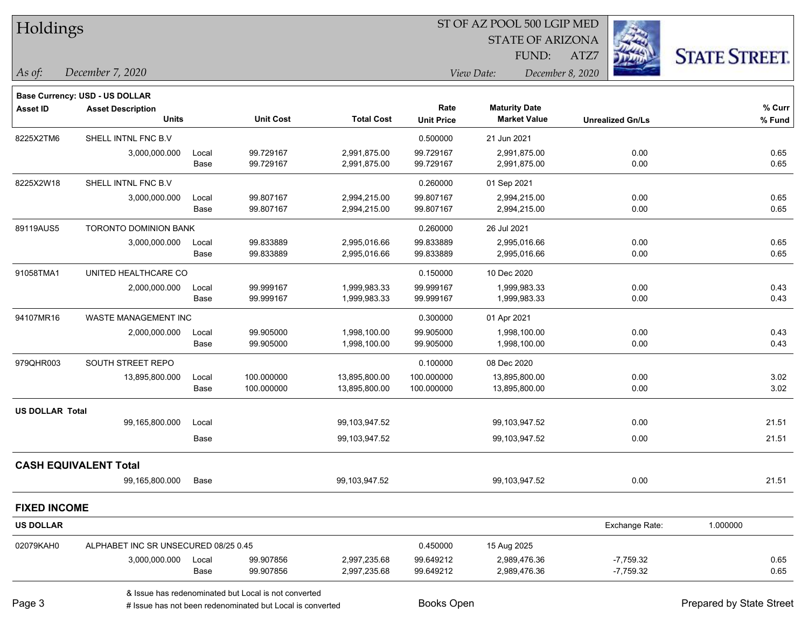ST OF AZ POOL 500 LGIP MED Holdings STATE OF ARIZONA **STATE STREET.** FUND: ATZ7 *December 7, 2020 As of: View Date: December 8, 2020* **Base Currency: USD - US DOLLAR Asset ID Asset Description Rate Maturity Date % Curr Units Unit Cost Total Cost Unit Price Market Value Unrealized Gn/Ls % Fund** 8225X2TM6 SHELL INTNL FNC B.V 0.500000 21 Jun 2021 3,000,000.000 Local 99.729167 2,991,875.00 99.729167 2,991,875.00 0.00 0.65 Base 99.729167 2,991,875.00 99.729167 2,991,875.00 0.00 0.65 8225X2W18 SHELL INTNL FNC B.V 0.260000 01 Sep 2021 3,000,000.000 Local 99.807167 2,994,215.00 99.807167 2,994,215.00 0.00 0.65 Base 99.807167 2,994,215.00 99.807167 2,994,215.00 0.00 0.65 89119AUS5 TORONTO DOMINION BANK 0.260000 26 Jul 2021 3,000,000.000 Local 99.833889 2,995,016.66 99.833889 2,995,016.66 0.00 0.65 Base 99.833889 2,995,016.66 99.833889 2,995,016.66 0.00 0.65 91058TMA1 UNITED HEALTHCARE CO 0.150000 10 Dec 2020 2,000,000.000 Local 99.999167 1,999,983.33 99.999167 1,999,983.33 0.00 0.43 Base 99.999167 1,999,983.33 99.999167 1,999,983.33 0.00 0.43 94107MR16 WASTE MANAGEMENT INC 800000 001 Apr 2021 2,000,000.000 Local 99.905000 1,998,100.00 99.905000 1,998,100.00 0.00 0.43 Base 99.905000 1,998,100.00 99.905000 1,998,100.00 0.00 0.43 979QHR003 SOUTH STREET REPO 60000 08 Dec 2020 13,895,800.000 Local 100.000000 13,895,800.00 100.000000 13,895,800.00 0.00 3.02 Base 100.000000 13,895,800.00 100.000000 13,895,800.00 0.00 3.02 **US DOLLAR Total** 99,165,800.000 Local 99,103,947.52 99,103,947.52 0.00 21.51 Base 99,103,947.52 99,103,947.52 0.00 21.51 **CASH EQUIVALENT Total** 99,165,800.000 Base 99,103,947.52 99,103,947.52 0.00 21.51 **FIXED INCOME US DOLLAR** Exchange Rate: 1.000000 02079KAH0 ALPHABET INC SR UNSECURED 08/25 0.45 0.45 0.450000 15 Aug 2025 3,000,000.000 Local 99.907856 2,997,235.68 99.649212 2,989,476.36 -7,759.32 0.65 Base 99.907856 2,997,235.68 99.649212 2,989,476.36 -7,759.32 0.65

& Issue has redenominated but Local is not converted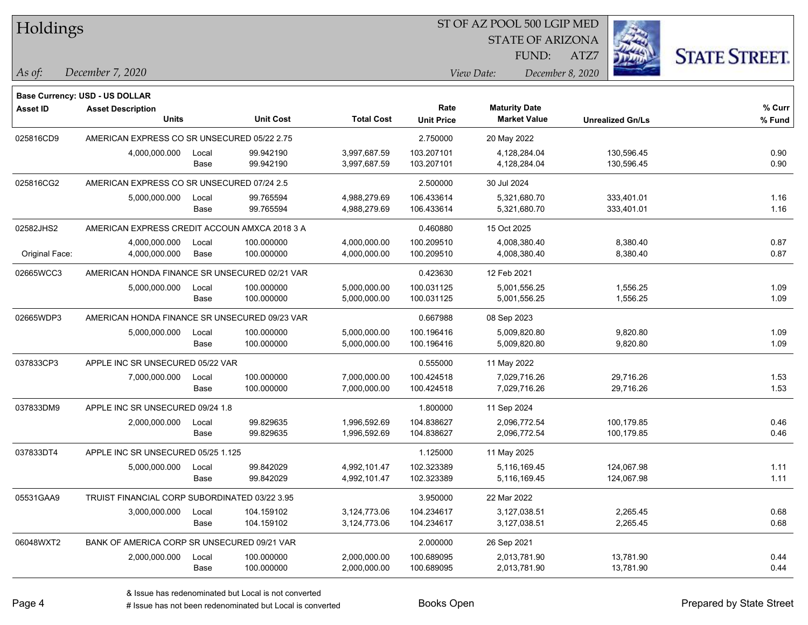| Holdings        |                                               |       |                  | ST OF AZ POOL 500 LGIP MED |                   |                         |                         |                      |  |  |
|-----------------|-----------------------------------------------|-------|------------------|----------------------------|-------------------|-------------------------|-------------------------|----------------------|--|--|
|                 |                                               |       |                  |                            |                   | <b>STATE OF ARIZONA</b> |                         |                      |  |  |
|                 |                                               |       |                  |                            |                   | FUND:                   | ATZ7                    | <b>STATE STREET.</b> |  |  |
| As of:          | December 7, 2020                              |       |                  |                            |                   | View Date:              | December 8, 2020        |                      |  |  |
|                 | Base Currency: USD - US DOLLAR                |       |                  |                            |                   |                         |                         |                      |  |  |
| <b>Asset ID</b> | <b>Asset Description</b>                      |       |                  |                            | Rate              | <b>Maturity Date</b>    |                         | % Curr               |  |  |
|                 | <b>Units</b>                                  |       | <b>Unit Cost</b> | <b>Total Cost</b>          | <b>Unit Price</b> | <b>Market Value</b>     | <b>Unrealized Gn/Ls</b> | $%$ Fund             |  |  |
| 025816CD9       | AMERICAN EXPRESS CO SR UNSECURED 05/22 2.75   |       |                  |                            | 2.750000          | 20 May 2022             |                         |                      |  |  |
|                 | 4,000,000.000                                 | Local | 99.942190        | 3,997,687.59               | 103.207101        | 4,128,284.04            | 130,596.45              | 0.90                 |  |  |
|                 |                                               | Base  | 99.942190        | 3,997,687.59               | 103.207101        | 4,128,284.04            | 130,596.45              | 0.90                 |  |  |
| 025816CG2       | AMERICAN EXPRESS CO SR UNSECURED 07/24 2.5    |       |                  |                            | 2.500000          | 30 Jul 2024             |                         |                      |  |  |
|                 | 5,000,000.000                                 | Local | 99.765594        | 4,988,279.69               | 106.433614        | 5,321,680.70            | 333,401.01              | 1.16                 |  |  |
|                 |                                               | Base  | 99.765594        | 4,988,279.69               | 106.433614        | 5,321,680.70            | 333,401.01              | 1.16                 |  |  |
| 02582JHS2       | AMERICAN EXPRESS CREDIT ACCOUN AMXCA 2018 3 A |       |                  |                            | 0.460880          | 15 Oct 2025             |                         |                      |  |  |
|                 | 4,000,000.000                                 | Local | 100.000000       | 4,000,000.00               | 100.209510        | 4,008,380.40            | 8,380.40                | 0.87                 |  |  |
| Original Face:  | 4,000,000.000                                 | Base  | 100.000000       | 4,000,000.00               | 100.209510        | 4,008,380.40            | 8,380.40                | 0.87                 |  |  |
| 02665WCC3       | AMERICAN HONDA FINANCE SR UNSECURED 02/21 VAR |       |                  |                            | 0.423630          | 12 Feb 2021             |                         |                      |  |  |
|                 | 5,000,000.000                                 | Local | 100.000000       | 5,000,000.00               | 100.031125        | 5,001,556.25            | 1,556.25                | 1.09                 |  |  |
|                 |                                               | Base  | 100.000000       | 5,000,000.00               | 100.031125        | 5,001,556.25            | 1,556.25                | 1.09                 |  |  |
| 02665WDP3       | AMERICAN HONDA FINANCE SR UNSECURED 09/23 VAR |       |                  |                            | 0.667988          | 08 Sep 2023             |                         |                      |  |  |
|                 | 5,000,000.000                                 | Local | 100.000000       | 5,000,000.00               | 100.196416        | 5,009,820.80            | 9,820.80                | 1.09                 |  |  |
|                 |                                               | Base  | 100.000000       | 5,000,000.00               | 100.196416        | 5,009,820.80            | 9,820.80                | 1.09                 |  |  |
| 037833CP3       | APPLE INC SR UNSECURED 05/22 VAR              |       |                  |                            | 0.555000          | 11 May 2022             |                         |                      |  |  |
|                 | 7,000,000.000                                 | Local | 100.000000       | 7,000,000.00               | 100.424518        | 7,029,716.26            | 29,716.26               | 1.53                 |  |  |
|                 |                                               | Base  | 100.000000       | 7,000,000.00               | 100.424518        | 7,029,716.26            | 29,716.26               | 1.53                 |  |  |
| 037833DM9       | APPLE INC SR UNSECURED 09/24 1.8              |       |                  |                            | 1.800000          | 11 Sep 2024             |                         |                      |  |  |
|                 | 2,000,000.000                                 | Local | 99.829635        | 1,996,592.69               | 104.838627        | 2,096,772.54            | 100,179.85              | 0.46                 |  |  |
|                 |                                               | Base  | 99.829635        | 1,996,592.69               | 104.838627        | 2,096,772.54            | 100,179.85              | 0.46                 |  |  |
| 037833DT4       | APPLE INC SR UNSECURED 05/25 1.125            |       |                  |                            | 1.125000          | 11 May 2025             |                         |                      |  |  |
|                 | 5,000,000.000                                 | Local | 99.842029        | 4,992,101.47               | 102.323389        | 5.116.169.45            | 124,067.98              | 1.11                 |  |  |
|                 |                                               | Base  | 99.842029        | 4,992,101.47               | 102.323389        | 5,116,169.45            | 124,067.98              | 1.11                 |  |  |
| 05531GAA9       | TRUIST FINANCIAL CORP SUBORDINATED 03/22 3.95 |       |                  |                            | 3.950000          | 22 Mar 2022             |                         |                      |  |  |
|                 | 3,000,000.000                                 | Local | 104.159102       | 3,124,773.06               | 104.234617        | 3,127,038.51            | 2,265.45                | 0.68                 |  |  |
|                 |                                               | Base  | 104.159102       | 3,124,773.06               | 104.234617        | 3,127,038.51            | 2,265.45                | 0.68                 |  |  |
| 06048WXT2       | BANK OF AMERICA CORP SR UNSECURED 09/21 VAR   |       |                  |                            | 2.000000          | 26 Sep 2021             |                         |                      |  |  |
|                 | 2,000,000.000                                 | Local | 100.000000       | 2,000,000.00               | 100.689095        | 2,013,781.90            | 13,781.90               | 0.44                 |  |  |
|                 |                                               | Base  | 100.000000       | 2,000,000.00               | 100.689095        | 2,013,781.90            | 13,781.90               | 0.44                 |  |  |

designative contribution of the second but Local is converted Books Open Prepared by State Street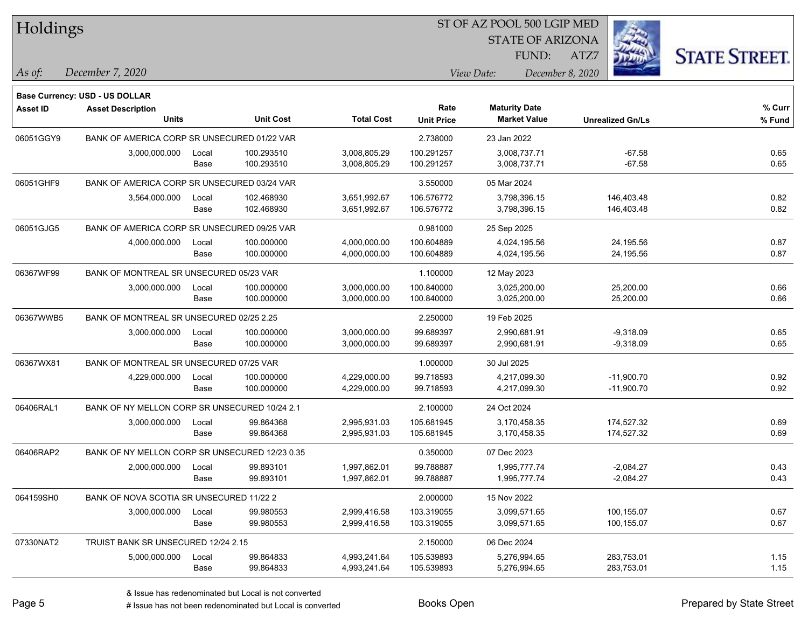| Holdings        |                                                |       |                  |                   |                   | ST OF AZ POOL 500 LGIP MED |                         |      |                         |                      |
|-----------------|------------------------------------------------|-------|------------------|-------------------|-------------------|----------------------------|-------------------------|------|-------------------------|----------------------|
|                 |                                                |       |                  |                   |                   |                            | <b>STATE OF ARIZONA</b> |      |                         |                      |
|                 |                                                |       |                  |                   |                   |                            | FUND:                   | ATZ7 |                         | <b>STATE STREET.</b> |
| As of:          | December 7, 2020                               |       |                  |                   |                   | View Date:                 | December 8, 2020        |      |                         |                      |
|                 | Base Currency: USD - US DOLLAR                 |       |                  |                   |                   |                            |                         |      |                         |                      |
| <b>Asset ID</b> | <b>Asset Description</b>                       |       |                  |                   | Rate              | <b>Maturity Date</b>       |                         |      |                         | % Curr               |
|                 | <b>Units</b>                                   |       | <b>Unit Cost</b> | <b>Total Cost</b> | <b>Unit Price</b> |                            | <b>Market Value</b>     |      | <b>Unrealized Gn/Ls</b> | % Fund               |
| 06051GGY9       | BANK OF AMERICA CORP SR UNSECURED 01/22 VAR    |       |                  |                   | 2.738000          | 23 Jan 2022                |                         |      |                         |                      |
|                 | 3,000,000.000                                  | Local | 100.293510       | 3,008,805.29      | 100.291257        |                            | 3,008,737.71            |      | $-67.58$                | 0.65                 |
|                 |                                                | Base  | 100.293510       | 3,008,805.29      | 100.291257        |                            | 3,008,737.71            |      | $-67.58$                | 0.65                 |
| 06051GHF9       | BANK OF AMERICA CORP SR UNSECURED 03/24 VAR    |       |                  |                   | 3.550000          | 05 Mar 2024                |                         |      |                         |                      |
|                 | 3,564,000.000                                  | Local | 102.468930       | 3,651,992.67      | 106.576772        |                            | 3,798,396.15            |      | 146,403.48              | 0.82                 |
|                 |                                                | Base  | 102.468930       | 3,651,992.67      | 106.576772        |                            | 3,798,396.15            |      | 146,403.48              | 0.82                 |
| 06051GJG5       | BANK OF AMERICA CORP SR UNSECURED 09/25 VAR    |       |                  |                   | 0.981000          | 25 Sep 2025                |                         |      |                         |                      |
|                 | 4,000,000.000                                  | Local | 100.000000       | 4,000,000.00      | 100.604889        |                            | 4,024,195.56            |      | 24,195.56               | 0.87                 |
|                 |                                                | Base  | 100.000000       | 4,000,000.00      | 100.604889        |                            | 4,024,195.56            |      | 24,195.56               | 0.87                 |
| 06367WF99       | BANK OF MONTREAL SR UNSECURED 05/23 VAR        |       |                  |                   | 1.100000          | 12 May 2023                |                         |      |                         |                      |
|                 | 3,000,000.000                                  | Local | 100.000000       | 3,000,000.00      | 100.840000        |                            | 3,025,200.00            |      | 25,200.00               | 0.66                 |
|                 |                                                | Base  | 100.000000       | 3,000,000.00      | 100.840000        |                            | 3,025,200.00            |      | 25,200.00               | 0.66                 |
| 06367WWB5       | BANK OF MONTREAL SR UNSECURED 02/25 2.25       |       |                  |                   | 2.250000          | 19 Feb 2025                |                         |      |                         |                      |
|                 | 3,000,000.000                                  | Local | 100.000000       | 3,000,000.00      | 99.689397         |                            | 2,990,681.91            |      | $-9,318.09$             | 0.65                 |
|                 |                                                | Base  | 100.000000       | 3,000,000.00      | 99.689397         |                            | 2,990,681.91            |      | $-9,318.09$             | 0.65                 |
| 06367WX81       | BANK OF MONTREAL SR UNSECURED 07/25 VAR        |       |                  |                   | 1.000000          | 30 Jul 2025                |                         |      |                         |                      |
|                 | 4,229,000.000                                  | Local | 100.000000       | 4,229,000.00      | 99.718593         |                            | 4,217,099.30            |      | $-11,900.70$            | 0.92                 |
|                 |                                                | Base  | 100.000000       | 4,229,000.00      | 99.718593         |                            | 4,217,099.30            |      | $-11,900.70$            | 0.92                 |
| 06406RAL1       | BANK OF NY MELLON CORP SR UNSECURED 10/24 2.1  |       |                  |                   | 2.100000          | 24 Oct 2024                |                         |      |                         |                      |
|                 | 3,000,000.000                                  | Local | 99.864368        | 2,995,931.03      | 105.681945        |                            | 3,170,458.35            |      | 174,527.32              | 0.69                 |
|                 |                                                | Base  | 99.864368        | 2,995,931.03      | 105.681945        |                            | 3,170,458.35            |      | 174,527.32              | 0.69                 |
| 06406RAP2       | BANK OF NY MELLON CORP SR UNSECURED 12/23 0.35 |       |                  |                   | 0.350000          | 07 Dec 2023                |                         |      |                         |                      |
|                 | 2,000,000.000                                  | Local | 99.893101        | 1,997,862.01      | 99.788887         |                            | 1,995,777.74            |      | $-2,084.27$             | 0.43                 |
|                 |                                                | Base  | 99.893101        | 1,997,862.01      | 99.788887         |                            | 1,995,777.74            |      | $-2,084.27$             | 0.43                 |
| 064159SH0       | BANK OF NOVA SCOTIA SR UNSECURED 11/22 2       |       |                  |                   | 2.000000          | 15 Nov 2022                |                         |      |                         |                      |
|                 | 3,000,000.000                                  | Local | 99.980553        | 2,999,416.58      | 103.319055        |                            | 3,099,571.65            |      | 100,155.07              | 0.67                 |
|                 |                                                | Base  | 99.980553        | 2,999,416.58      | 103.319055        |                            | 3,099,571.65            |      | 100,155.07              | 0.67                 |
| 07330NAT2       | TRUIST BANK SR UNSECURED 12/24 2.15            |       |                  |                   | 2.150000          | 06 Dec 2024                |                         |      |                         |                      |
|                 | 5,000,000.000                                  | Local | 99.864833        | 4,993,241.64      | 105.539893        |                            | 5,276,994.65            |      | 283,753.01              | 1.15                 |
|                 |                                                | Base  | 99.864833        | 4,993,241.64      | 105.539893        |                            | 5,276,994.65            |      | 283,753.01              | 1.15                 |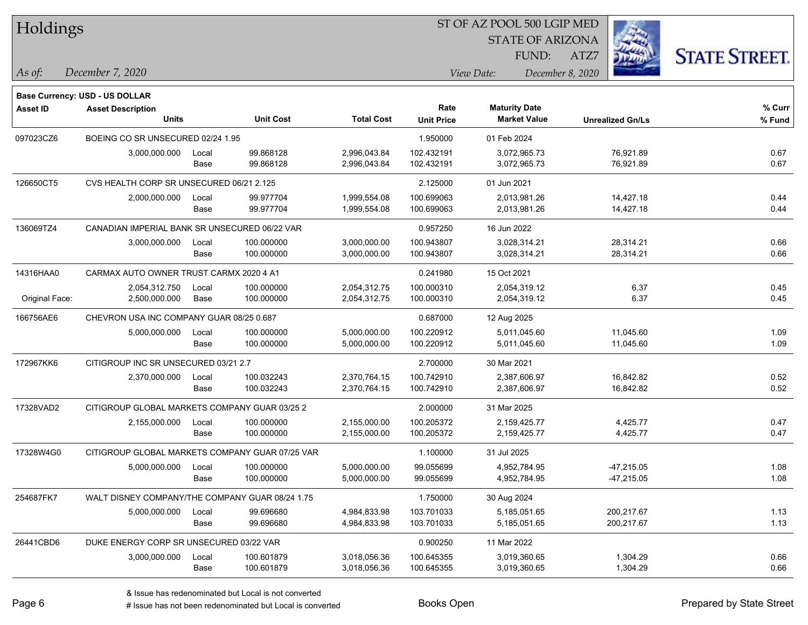| Holdings        |                                                 |       |                  |                   |                   | ST OF AZ POOL 500 LGIP MED                  |                         |                      |
|-----------------|-------------------------------------------------|-------|------------------|-------------------|-------------------|---------------------------------------------|-------------------------|----------------------|
|                 |                                                 |       |                  |                   |                   | <b>STATE OF ARIZONA</b>                     |                         |                      |
|                 |                                                 |       |                  |                   |                   | FUND:                                       | ATZ7                    | <b>STATE STREET.</b> |
| As of:          | December 7, 2020                                |       |                  |                   |                   | View Date:                                  | December 8, 2020        |                      |
|                 |                                                 |       |                  |                   |                   |                                             |                         |                      |
|                 | Base Currency: USD - US DOLLAR                  |       |                  |                   |                   |                                             |                         |                      |
| <b>Asset ID</b> | <b>Asset Description</b><br>Units               |       | <b>Unit Cost</b> | <b>Total Cost</b> | Rate              | <b>Maturity Date</b><br><b>Market Value</b> |                         | % Curr               |
|                 |                                                 |       |                  |                   | <b>Unit Price</b> |                                             | <b>Unrealized Gn/Ls</b> | % Fund               |
| 097023CZ6       | BOEING CO SR UNSECURED 02/24 1.95               |       |                  |                   | 1.950000          | 01 Feb 2024                                 |                         |                      |
|                 | 3,000,000.000                                   | Local | 99.868128        | 2,996,043.84      | 102.432191        | 3,072,965.73                                | 76,921.89               | 0.67                 |
|                 |                                                 | Base  | 99.868128        | 2,996,043.84      | 102.432191        | 3,072,965.73                                | 76,921.89               | 0.67                 |
| 126650CT5       | CVS HEALTH CORP SR UNSECURED 06/21 2.125        |       |                  |                   | 2.125000          | 01 Jun 2021                                 |                         |                      |
|                 | 2,000,000.000                                   | Local | 99.977704        | 1,999,554.08      | 100.699063        | 2,013,981.26                                | 14,427.18               | 0.44                 |
|                 |                                                 | Base  | 99.977704        | 1,999,554.08      | 100.699063        | 2,013,981.26                                | 14,427.18               | 0.44                 |
| 136069TZ4       | CANADIAN IMPERIAL BANK SR UNSECURED 06/22 VAR   |       |                  |                   | 0.957250          | 16 Jun 2022                                 |                         |                      |
|                 | 3,000,000.000                                   | Local | 100.000000       | 3,000,000.00      | 100.943807        | 3,028,314.21                                | 28,314.21               | 0.66                 |
|                 |                                                 | Base  | 100.000000       | 3,000,000.00      | 100.943807        | 3,028,314.21                                | 28,314.21               | 0.66                 |
| 14316HAA0       | CARMAX AUTO OWNER TRUST CARMX 2020 4 A1         |       |                  |                   | 0.241980          | 15 Oct 2021                                 |                         |                      |
|                 | 2,054,312.750                                   | Local | 100.000000       | 2,054,312.75      | 100.000310        | 2,054,319.12                                | 6.37                    | 0.45                 |
| Original Face:  | 2,500,000.000                                   | Base  | 100.000000       | 2,054,312.75      | 100.000310        | 2,054,319.12                                | 6.37                    | 0.45                 |
| 166756AE6       | CHEVRON USA INC COMPANY GUAR 08/25 0.687        |       |                  |                   | 0.687000          | 12 Aug 2025                                 |                         |                      |
|                 | 5,000,000.000                                   | Local | 100.000000       | 5,000,000.00      | 100.220912        | 5,011,045.60                                | 11,045.60               | 1.09                 |
|                 |                                                 | Base  | 100.000000       | 5,000,000.00      | 100.220912        | 5,011,045.60                                | 11,045.60               | 1.09                 |
| 172967KK6       | CITIGROUP INC SR UNSECURED 03/21 2.7            |       |                  |                   | 2.700000          | 30 Mar 2021                                 |                         |                      |
|                 | 2,370,000.000                                   | Local | 100.032243       | 2,370,764.15      | 100.742910        | 2,387,606.97                                | 16,842.82               | 0.52                 |
|                 |                                                 | Base  | 100.032243       | 2,370,764.15      | 100.742910        | 2,387,606.97                                | 16,842.82               | 0.52                 |
| 17328VAD2       | CITIGROUP GLOBAL MARKETS COMPANY GUAR 03/25 2   |       |                  |                   | 2.000000          | 31 Mar 2025                                 |                         |                      |
|                 | 2,155,000.000                                   | Local | 100.000000       | 2,155,000.00      | 100.205372        | 2,159,425.77                                | 4,425.77                | 0.47                 |
|                 |                                                 | Base  | 100.000000       | 2,155,000.00      | 100.205372        | 2,159,425.77                                | 4,425.77                | 0.47                 |
| 17328W4G0       | CITIGROUP GLOBAL MARKETS COMPANY GUAR 07/25 VAR |       |                  |                   | 1.100000          | 31 Jul 2025                                 |                         |                      |
|                 | 5,000,000.000                                   | Local | 100.000000       | 5,000,000.00      | 99.055699         | 4,952,784.95                                | $-47,215.05$            | 1.08                 |
|                 |                                                 | Base  | 100.000000       | 5,000,000.00      | 99.055699         | 4,952,784.95                                | $-47,215.05$            | 1.08                 |
| 254687FK7       | WALT DISNEY COMPANY/THE COMPANY GUAR 08/24 1.75 |       |                  |                   | 1.750000          | 30 Aug 2024                                 |                         |                      |
|                 | 5,000,000.000                                   | Local | 99.696680        | 4,984,833.98      | 103.701033        | 5,185,051.65                                | 200,217.67              | 1.13                 |
|                 |                                                 | Base  | 99.696680        | 4,984,833.98      | 103.701033        | 5,185,051.65                                | 200,217.67              | 1.13                 |
| 26441CBD6       | DUKE ENERGY CORP SR UNSECURED 03/22 VAR         |       |                  |                   | 0.900250          | 11 Mar 2022                                 |                         |                      |
|                 | 3,000,000.000                                   | Local | 100.601879       | 3,018,056.36      | 100.645355        | 3,019,360.65                                | 1,304.29                | 0.66                 |
|                 |                                                 | Base  | 100.601879       | 3,018,056.36      | 100.645355        | 3,019,360.65                                | 1,304.29                | 0.66                 |

designative redenominated but Local is converted Books Open Prepared by State Street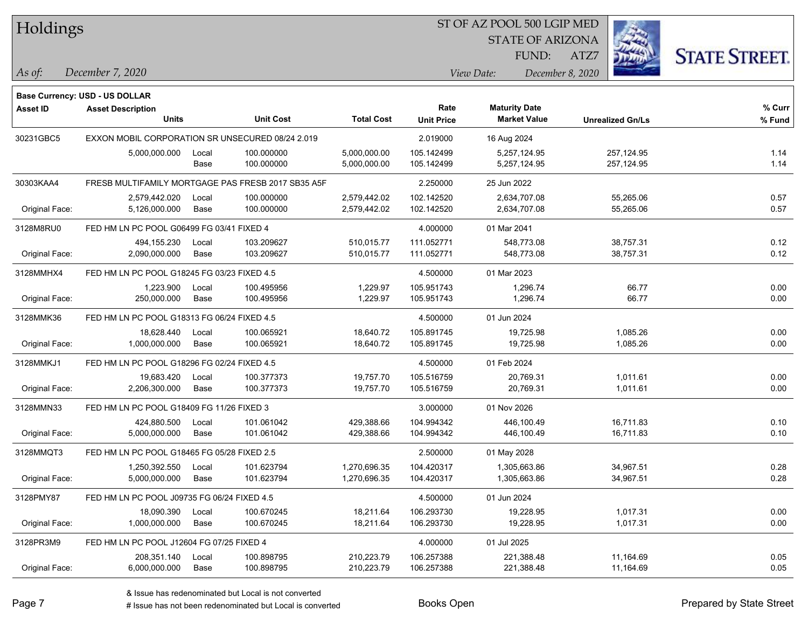#### ST OF AZ POOL 500 LGIP MED

STATE OF ARIZONA

ATZ7



*December 7, 2020 As of: View Date: December 8, 2020*

**Base Currency: USD - US DOLLAR**

| Asset ID       | <b>Asset Description</b>                           |       |                  |                   | Rate              | <b>Maturity Date</b> |                         | % Curr |
|----------------|----------------------------------------------------|-------|------------------|-------------------|-------------------|----------------------|-------------------------|--------|
|                | <b>Units</b>                                       |       | <b>Unit Cost</b> | <b>Total Cost</b> | <b>Unit Price</b> | <b>Market Value</b>  | <b>Unrealized Gn/Ls</b> | % Fund |
| 30231GBC5      | EXXON MOBIL CORPORATION SR UNSECURED 08/24 2.019   |       |                  | 2.019000          | 16 Aug 2024       |                      |                         |        |
|                | 5,000,000.000                                      | Local | 100.000000       | 5,000,000.00      | 105.142499        | 5,257,124.95         | 257,124.95              | 1.14   |
|                |                                                    | Base  | 100.000000       | 5,000,000.00      | 105.142499        | 5,257,124.95         | 257,124.95              | 1.14   |
| 30303KAA4      | FRESB MULTIFAMILY MORTGAGE PAS FRESB 2017 SB35 A5F |       |                  |                   | 2.250000          | 25 Jun 2022          |                         |        |
|                | 2,579,442.020                                      | Local | 100.000000       | 2,579,442.02      | 102.142520        | 2,634,707.08         | 55,265.06               | 0.57   |
| Original Face: | 5,126,000.000                                      | Base  | 100.000000       | 2,579,442.02      | 102.142520        | 2,634,707.08         | 55,265.06               | 0.57   |
| 3128M8RU0      | FED HM LN PC POOL G06499 FG 03/41 FIXED 4          |       |                  | 4.000000          | 01 Mar 2041       |                      |                         |        |
|                | 494,155.230                                        | Local | 103.209627       | 510,015.77        | 111.052771        | 548,773.08           | 38,757.31               | 0.12   |
| Original Face: | 2,090,000.000                                      | Base  | 103.209627       | 510,015.77        | 111.052771        | 548,773.08           | 38,757.31               | 0.12   |
| 3128MMHX4      | FED HM LN PC POOL G18245 FG 03/23 FIXED 4.5        |       |                  |                   | 4.500000          | 01 Mar 2023          |                         |        |
|                | 1,223.900                                          | Local | 100.495956       | 1,229.97          | 105.951743        | 1,296.74             | 66.77                   | 0.00   |
| Original Face: | 250,000.000                                        | Base  | 100.495956       | 1,229.97          | 105.951743        | 1,296.74             | 66.77                   | 0.00   |
| 3128MMK36      | FED HM LN PC POOL G18313 FG 06/24 FIXED 4.5        |       |                  | 4.500000          | 01 Jun 2024       |                      |                         |        |
|                | 18.628.440                                         | Local | 100.065921       | 18,640.72         | 105.891745        | 19,725.98            | 1,085.26                | 0.00   |
| Original Face: | 1,000,000.000                                      | Base  | 100.065921       | 18,640.72         | 105.891745        | 19,725.98            | 1,085.26                | 0.00   |
| 3128MMKJ1      | FED HM LN PC POOL G18296 FG 02/24 FIXED 4.5        |       |                  | 4.500000          | 01 Feb 2024       |                      |                         |        |
|                | 19,683.420                                         | Local | 100.377373       | 19,757.70         | 105.516759        | 20,769.31            | 1,011.61                | 0.00   |
| Original Face: | 2,206,300.000                                      | Base  | 100.377373       | 19,757.70         | 105.516759        | 20,769.31            | 1,011.61                | 0.00   |
| 3128MMN33      | FED HM LN PC POOL G18409 FG 11/26 FIXED 3          |       |                  |                   | 3.000000          | 01 Nov 2026          |                         |        |
|                | 424,880.500                                        | Local | 101.061042       | 429,388.66        | 104.994342        | 446,100.49           | 16,711.83               | 0.10   |
| Original Face: | 5,000,000.000                                      | Base  | 101.061042       | 429,388.66        | 104.994342        | 446,100.49           | 16,711.83               | 0.10   |
| 3128MMQT3      | FED HM LN PC POOL G18465 FG 05/28 FIXED 2.5        |       |                  |                   | 2.500000          | 01 May 2028          |                         |        |
|                | 1,250,392.550                                      | Local | 101.623794       | 1,270,696.35      | 104.420317        | 1,305,663.86         | 34,967.51               | 0.28   |
| Original Face: | 5,000,000.000                                      | Base  | 101.623794       | 1,270,696.35      | 104.420317        | 1,305,663.86         | 34,967.51               | 0.28   |
| 3128PMY87      | FED HM LN PC POOL J09735 FG 06/24 FIXED 4.5        |       |                  |                   | 4.500000          | 01 Jun 2024          |                         |        |
|                | 18,090.390                                         | Local | 100.670245       | 18,211.64         | 106.293730        | 19,228.95            | 1,017.31                | 0.00   |
| Original Face: | 1,000,000.000                                      | Base  | 100.670245       | 18,211.64         | 106.293730        | 19,228.95            | 1,017.31                | 0.00   |
| 3128PR3M9      | FED HM LN PC POOL J12604 FG 07/25 FIXED 4          |       |                  |                   | 4.000000          | 01 Jul 2025          |                         |        |
|                | 208,351.140                                        | Local | 100.898795       | 210,223.79        | 106.257388        | 221,388.48           | 11,164.69               | 0.05   |
| Original Face: | 6,000,000.000                                      | Base  | 100.898795       | 210,223.79        | 106.257388        | 221,388.48           | 11,164.69               | 0.05   |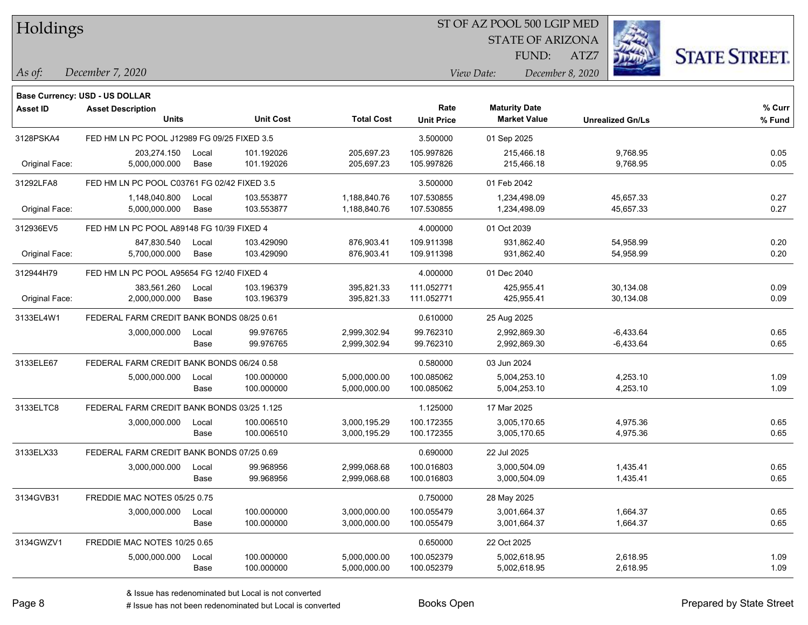#### ST OF AZ POOL 500 LGIP MED

STATE OF ARIZONA

ATZ7



**Base Currency: USD - US DOLLAR**

*December 7, 2020 As of: View Date: December 8, 2020* FUND:

| Asset ID       | <b>Asset Description</b><br><b>Units</b>    |       | <b>Unit Cost</b> | <b>Total Cost</b> | Rate<br><b>Unit Price</b> | <b>Maturity Date</b><br><b>Market Value</b> | <b>Unrealized Gn/Ls</b> | % Curr<br>% Fund |
|----------------|---------------------------------------------|-------|------------------|-------------------|---------------------------|---------------------------------------------|-------------------------|------------------|
| 3128PSKA4      | FED HM LN PC POOL J12989 FG 09/25 FIXED 3.5 |       |                  |                   | 3.500000                  | 01 Sep 2025                                 |                         |                  |
|                | 203,274.150                                 | Local | 101.192026       | 205,697.23        | 105.997826                | 215,466.18                                  | 9,768.95                | 0.05             |
| Original Face: | 5,000,000.000                               | Base  | 101.192026       | 205,697.23        | 105.997826                | 215,466.18                                  | 9,768.95                | 0.05             |
| 31292LFA8      | FED HM LN PC POOL C03761 FG 02/42 FIXED 3.5 |       |                  |                   | 3.500000                  | 01 Feb 2042                                 |                         |                  |
|                | 1,148,040.800                               | Local | 103.553877       | 1,188,840.76      | 107.530855                | 1,234,498.09                                | 45,657.33               | 0.27             |
| Original Face: | 5,000,000.000                               | Base  | 103.553877       | 1,188,840.76      | 107.530855                | 1,234,498.09                                | 45,657.33               | 0.27             |
| 312936EV5      | FED HM LN PC POOL A89148 FG 10/39 FIXED 4   |       |                  |                   | 4.000000                  | 01 Oct 2039                                 |                         |                  |
|                | 847,830.540                                 | Local | 103.429090       | 876,903.41        | 109.911398                | 931.862.40                                  | 54,958.99               | 0.20             |
| Original Face: | 5,700,000.000                               | Base  | 103.429090       | 876,903.41        | 109.911398                | 931,862.40                                  | 54,958.99               | 0.20             |
| 312944H79      | FED HM LN PC POOL A95654 FG 12/40 FIXED 4   |       |                  |                   | 4.000000                  | 01 Dec 2040                                 |                         |                  |
|                | 383,561.260                                 | Local | 103.196379       | 395,821.33        | 111.052771                | 425,955.41                                  | 30,134.08               | 0.09             |
| Original Face: | 2,000,000.000                               | Base  | 103.196379       | 395,821.33        | 111.052771                | 425,955.41                                  | 30,134.08               | 0.09             |
| 3133EL4W1      | FEDERAL FARM CREDIT BANK BONDS 08/25 0.61   |       |                  |                   | 0.610000                  | 25 Aug 2025                                 |                         |                  |
|                | 3,000,000.000                               | Local | 99.976765        | 2,999,302.94      | 99.762310                 | 2,992,869.30                                | $-6,433.64$             | 0.65             |
|                |                                             | Base  | 99.976765        | 2,999,302.94      | 99.762310                 | 2,992,869.30                                | $-6,433.64$             | 0.65             |
| 3133ELE67      | FEDERAL FARM CREDIT BANK BONDS 06/24 0.58   |       |                  |                   | 0.580000                  | 03 Jun 2024                                 |                         |                  |
|                | 5,000,000.000                               | Local | 100.000000       | 5,000,000.00      | 100.085062                | 5,004,253.10                                | 4,253.10                | 1.09             |
|                |                                             | Base  | 100.000000       | 5,000,000.00      | 100.085062                | 5,004,253.10                                | 4,253.10                | 1.09             |
| 3133ELTC8      | FEDERAL FARM CREDIT BANK BONDS 03/25 1.125  |       |                  |                   | 1.125000                  | 17 Mar 2025                                 |                         |                  |
|                | 3,000,000.000                               | Local | 100.006510       | 3,000,195.29      | 100.172355                | 3,005,170.65                                | 4,975.36                | 0.65             |
|                |                                             | Base  | 100.006510       | 3,000,195.29      | 100.172355                | 3,005,170.65                                | 4,975.36                | 0.65             |
| 3133ELX33      | FEDERAL FARM CREDIT BANK BONDS 07/25 0.69   |       |                  |                   | 0.690000                  | 22 Jul 2025                                 |                         |                  |
|                | 3,000,000.000                               | Local | 99.968956        | 2,999,068.68      | 100.016803                | 3,000,504.09                                | 1,435.41                | 0.65             |
|                |                                             | Base  | 99.968956        | 2,999,068.68      | 100.016803                | 3,000,504.09                                | 1,435.41                | 0.65             |
| 3134GVB31      | FREDDIE MAC NOTES 05/25 0.75                |       |                  |                   | 0.750000                  | 28 May 2025                                 |                         |                  |
|                | 3,000,000.000                               | Local | 100.000000       | 3,000,000.00      | 100.055479                | 3,001,664.37                                | 1,664.37                | 0.65             |
|                |                                             | Base  | 100.000000       | 3,000,000.00      | 100.055479                | 3,001,664.37                                | 1,664.37                | 0.65             |
| 3134GWZV1      | FREDDIE MAC NOTES 10/25 0.65                |       |                  |                   | 0.650000                  | 22 Oct 2025                                 |                         |                  |
|                | 5,000,000.000                               | Local | 100.000000       | 5,000,000.00      | 100.052379                | 5,002,618.95                                | 2,618.95                | 1.09             |
|                |                                             | Base  | 100.000000       | 5,000,000.00      | 100.052379                | 5,002,618.95                                | 2,618.95                | 1.09             |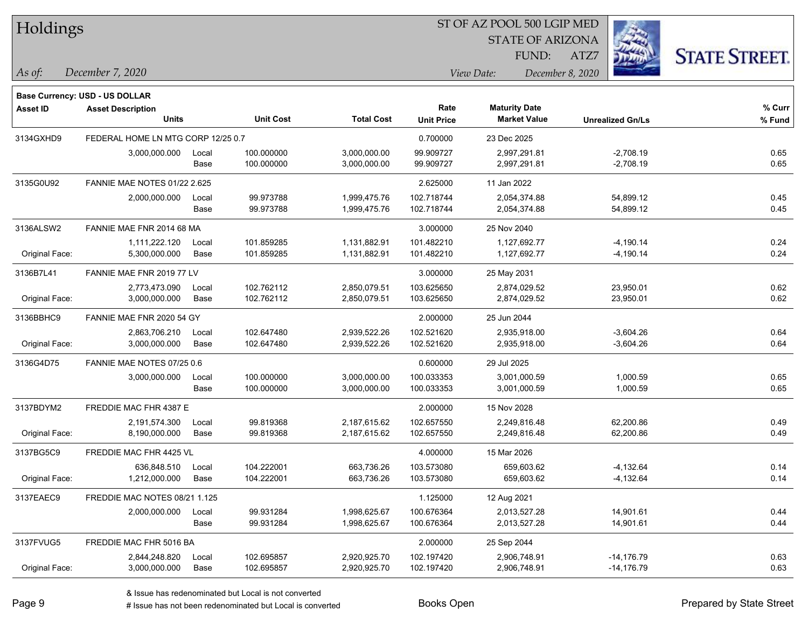| Holdings |  |
|----------|--|
|----------|--|

STATE OF ARIZONA

ATZ7



*December 7, 2020 As of: View Date: December 8, 2020*

**Base Currency: USD - US DOLLAR**

| <b>Asset ID</b> | <b>Asset Description</b>            |       |                  |                   | Rate              | <b>Maturity Date</b> |                         | % Curr |
|-----------------|-------------------------------------|-------|------------------|-------------------|-------------------|----------------------|-------------------------|--------|
|                 | <b>Units</b>                        |       | <b>Unit Cost</b> | <b>Total Cost</b> | <b>Unit Price</b> | <b>Market Value</b>  | <b>Unrealized Gn/Ls</b> | % Fund |
| 3134GXHD9       | FEDERAL HOME LN MTG CORP 12/25 0.7  |       |                  |                   | 0.700000          | 23 Dec 2025          |                         |        |
|                 | 3,000,000.000                       | Local | 100.000000       | 3,000,000.00      | 99.909727         | 2,997,291.81         | $-2,708.19$             | 0.65   |
|                 |                                     | Base  | 100.000000       | 3,000,000.00      | 99.909727         | 2,997,291.81         | $-2,708.19$             | 0.65   |
| 3135G0U92       | <b>FANNIE MAE NOTES 01/22 2.625</b> |       |                  |                   | 2.625000          | 11 Jan 2022          |                         |        |
|                 | 2,000,000.000                       | Local | 99.973788        | 1,999,475.76      | 102.718744        | 2,054,374.88         | 54,899.12               | 0.45   |
|                 |                                     | Base  | 99.973788        | 1,999,475.76      | 102.718744        | 2,054,374.88         | 54,899.12               | 0.45   |
| 3136ALSW2       | FANNIE MAE FNR 2014 68 MA           |       |                  |                   | 3.000000          | 25 Nov 2040          |                         |        |
|                 | 1,111,222.120                       | Local | 101.859285       | 1,131,882.91      | 101.482210        | 1,127,692.77         | -4,190.14               | 0.24   |
| Original Face:  | 5,300,000.000                       | Base  | 101.859285       | 1,131,882.91      | 101.482210        | 1,127,692.77         | $-4,190.14$             | 0.24   |
| 3136B7L41       | FANNIE MAE FNR 2019 77 LV           |       |                  |                   | 3.000000          | 25 May 2031          |                         |        |
|                 | 2,773,473.090                       | Local | 102.762112       | 2,850,079.51      | 103.625650        | 2,874,029.52         | 23,950.01               | 0.62   |
| Original Face:  | 3,000,000.000                       | Base  | 102.762112       | 2,850,079.51      | 103.625650        | 2,874,029.52         | 23,950.01               | 0.62   |
| 3136BBHC9       | FANNIE MAE FNR 2020 54 GY           |       |                  |                   | 2.000000          | 25 Jun 2044          |                         |        |
|                 | 2,863,706.210                       | Local | 102.647480       | 2,939,522.26      | 102.521620        | 2,935,918.00         | $-3,604.26$             | 0.64   |
| Original Face:  | 3,000,000.000                       | Base  | 102.647480       | 2,939,522.26      | 102.521620        | 2,935,918.00         | $-3,604.26$             | 0.64   |
| 3136G4D75       | FANNIE MAE NOTES 07/25 0.6          |       |                  |                   | 0.600000          | 29 Jul 2025          |                         |        |
|                 | 3,000,000.000                       | Local | 100.000000       | 3,000,000.00      | 100.033353        | 3,001,000.59         | 1,000.59                | 0.65   |
|                 |                                     | Base  | 100.000000       | 3,000,000.00      | 100.033353        | 3,001,000.59         | 1,000.59                | 0.65   |
| 3137BDYM2       | FREDDIE MAC FHR 4387 E              |       |                  |                   | 2.000000          | 15 Nov 2028          |                         |        |
|                 | 2,191,574.300                       | Local | 99.819368        | 2,187,615.62      | 102.657550        | 2,249,816.48         | 62,200.86               | 0.49   |
| Original Face:  | 8,190,000.000                       | Base  | 99.819368        | 2,187,615.62      | 102.657550        | 2,249,816.48         | 62,200.86               | 0.49   |
| 3137BG5C9       | FREDDIE MAC FHR 4425 VL             |       |                  |                   | 4.000000          | 15 Mar 2026          |                         |        |
|                 | 636,848.510                         | Local | 104.222001       | 663,736.26        | 103.573080        | 659,603.62           | -4,132.64               | 0.14   |
| Original Face:  | 1,212,000.000                       | Base  | 104.222001       | 663,736.26        | 103.573080        | 659,603.62           | $-4,132.64$             | 0.14   |
| 3137EAEC9       | FREDDIE MAC NOTES 08/21 1.125       |       |                  |                   | 1.125000          | 12 Aug 2021          |                         |        |
|                 | 2,000,000.000                       | Local | 99.931284        | 1,998,625.67      | 100.676364        | 2,013,527.28         | 14,901.61               | 0.44   |
|                 |                                     | Base  | 99.931284        | 1,998,625.67      | 100.676364        | 2,013,527.28         | 14,901.61               | 0.44   |
| 3137FVUG5       | FREDDIE MAC FHR 5016 BA             |       |                  |                   | 2.000000          | 25 Sep 2044          |                         |        |
|                 | 2,844,248.820                       | Local | 102.695857       | 2,920,925.70      | 102.197420        | 2,906,748.91         | $-14,176.79$            | 0.63   |
| Original Face:  | 3,000,000.000                       | Base  | 102.695857       | 2,920,925.70      | 102.197420        | 2,906,748.91         | $-14,176.79$            | 0.63   |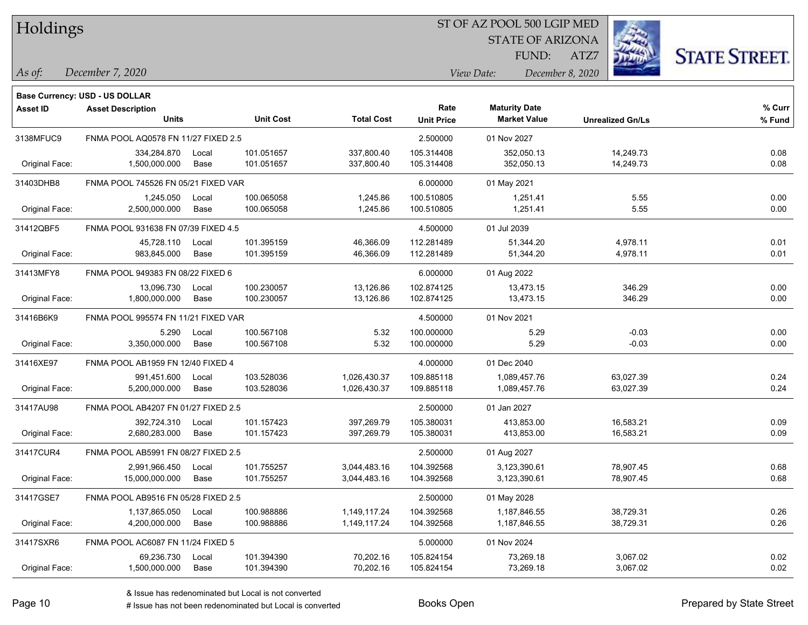|  | Holdings |
|--|----------|
|--|----------|

STATE OF ARIZONA

ATZ7



*December 7, 2020 As of: View Date: December 8, 2020*

**Base Currency: USD - US DOLLAR**

| <b>Asset ID</b> | <b>Asset Description</b>            |       |                  | Rate              | <b>Maturity Date</b> |                     | % Curr                  |        |
|-----------------|-------------------------------------|-------|------------------|-------------------|----------------------|---------------------|-------------------------|--------|
|                 | <b>Units</b>                        |       | <b>Unit Cost</b> | <b>Total Cost</b> | <b>Unit Price</b>    | <b>Market Value</b> | <b>Unrealized Gn/Ls</b> | % Fund |
| 3138MFUC9       | FNMA POOL AQ0578 FN 11/27 FIXED 2.5 |       |                  |                   | 2.500000             | 01 Nov 2027         |                         |        |
|                 | 334,284.870                         | Local | 101.051657       | 337,800.40        | 105.314408           | 352,050.13          | 14,249.73               | 0.08   |
| Original Face:  | 1,500,000.000                       | Base  | 101.051657       | 337,800.40        | 105.314408           | 352,050.13          | 14,249.73               | 0.08   |
| 31403DHB8       | FNMA POOL 745526 FN 05/21 FIXED VAR |       |                  |                   | 6.000000             | 01 May 2021         |                         |        |
|                 | 1,245.050                           | Local | 100.065058       | 1,245.86          | 100.510805           | 1,251.41            | 5.55                    | 0.00   |
| Original Face:  | 2,500,000.000                       | Base  | 100.065058       | 1,245.86          | 100.510805           | 1,251.41            | 5.55                    | 0.00   |
| 31412QBF5       | FNMA POOL 931638 FN 07/39 FIXED 4.5 |       |                  |                   | 4.500000             | 01 Jul 2039         |                         |        |
|                 | 45,728.110                          | Local | 101.395159       | 46,366.09         | 112.281489           | 51,344.20           | 4,978.11                | 0.01   |
| Original Face:  | 983,845.000                         | Base  | 101.395159       | 46,366.09         | 112.281489           | 51,344.20           | 4,978.11                | 0.01   |
| 31413MFY8       | FNMA POOL 949383 FN 08/22 FIXED 6   |       |                  |                   | 6.000000             | 01 Aug 2022         |                         |        |
|                 | 13,096.730                          | Local | 100.230057       | 13,126.86         | 102.874125           | 13,473.15           | 346.29                  | 0.00   |
| Original Face:  | 1,800,000.000                       | Base  | 100.230057       | 13,126.86         | 102.874125           | 13,473.15           | 346.29                  | 0.00   |
| 31416B6K9       | FNMA POOL 995574 FN 11/21 FIXED VAR |       |                  |                   | 4.500000             | 01 Nov 2021         |                         |        |
|                 | 5.290                               | Local | 100.567108       | 5.32              | 100.000000           | 5.29                | $-0.03$                 | 0.00   |
| Original Face:  | 3,350,000.000                       | Base  | 100.567108       | 5.32              | 100.000000           | 5.29                | $-0.03$                 | 0.00   |
| 31416XE97       | FNMA POOL AB1959 FN 12/40 FIXED 4   |       |                  |                   | 4.000000             | 01 Dec 2040         |                         |        |
|                 | 991,451.600                         | Local | 103.528036       | 1,026,430.37      | 109.885118           | 1,089,457.76        | 63,027.39               | 0.24   |
| Original Face:  | 5,200,000.000                       | Base  | 103.528036       | 1,026,430.37      | 109.885118           | 1,089,457.76        | 63,027.39               | 0.24   |
| 31417AU98       | FNMA POOL AB4207 FN 01/27 FIXED 2.5 |       |                  |                   | 2.500000             | 01 Jan 2027         |                         |        |
|                 | 392,724.310                         | Local | 101.157423       | 397,269.79        | 105.380031           | 413,853.00          | 16,583.21               | 0.09   |
| Original Face:  | 2,680,283.000                       | Base  | 101.157423       | 397,269.79        | 105.380031           | 413,853.00          | 16,583.21               | 0.09   |
| 31417CUR4       | FNMA POOL AB5991 FN 08/27 FIXED 2.5 |       |                  |                   | 2.500000             | 01 Aug 2027         |                         |        |
|                 | 2,991,966.450                       | Local | 101.755257       | 3,044,483.16      | 104.392568           | 3,123,390.61        | 78,907.45               | 0.68   |
| Original Face:  | 15,000,000.000                      | Base  | 101.755257       | 3,044,483.16      | 104.392568           | 3,123,390.61        | 78,907.45               | 0.68   |
| 31417GSE7       | FNMA POOL AB9516 FN 05/28 FIXED 2.5 |       |                  |                   | 2.500000             | 01 May 2028         |                         |        |
|                 | 1,137,865.050                       | Local | 100.988886       | 1,149,117.24      | 104.392568           | 1,187,846.55        | 38,729.31               | 0.26   |
| Original Face:  | 4,200,000.000                       | Base  | 100.988886       | 1,149,117.24      | 104.392568           | 1,187,846.55        | 38,729.31               | 0.26   |
| 31417SXR6       | FNMA POOL AC6087 FN 11/24 FIXED 5   |       |                  |                   | 5.000000             | 01 Nov 2024         |                         |        |
|                 | 69,236.730                          | Local | 101.394390       | 70,202.16         | 105.824154           | 73,269.18           | 3,067.02                | 0.02   |
| Original Face:  | 1,500,000.000                       | Base  | 101.394390       | 70,202.16         | 105.824154           | 73,269.18           | 3,067.02                | 0.02   |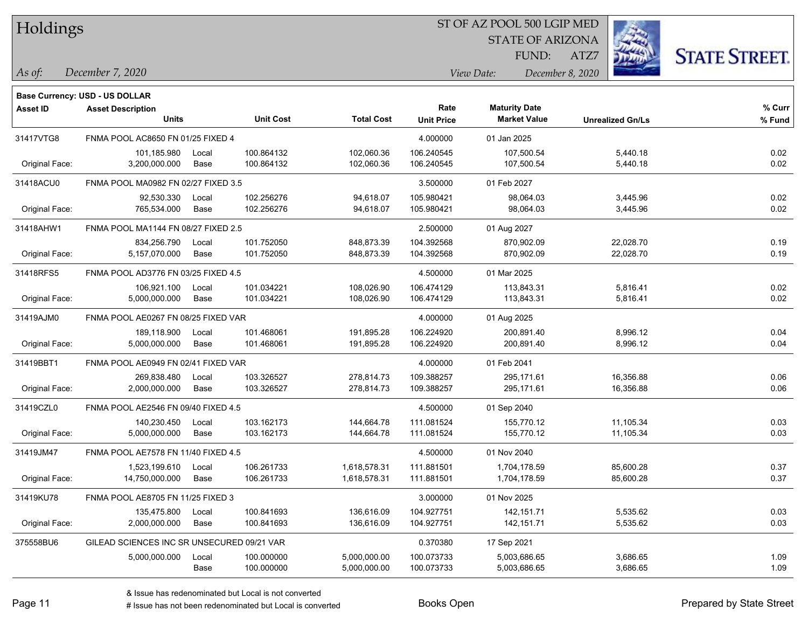| Holdings |
|----------|
|          |

STATE OF ARIZONA

ATZ7



*December 7, 2020 As of: View Date: December 8, 2020*

**Base Currency: USD - US DOLLAR**

| <b>Asset ID</b> | <b>Asset Description</b><br><b>Units</b>   |               | <b>Unit Cost</b>         | <b>Total Cost</b>            | Rate<br><b>Unit Price</b> | <b>Maturity Date</b><br><b>Market Value</b> | <b>Unrealized Gn/Ls</b> | % Curr<br>% Fund |
|-----------------|--------------------------------------------|---------------|--------------------------|------------------------------|---------------------------|---------------------------------------------|-------------------------|------------------|
| 31417VTG8       | FNMA POOL AC8650 FN 01/25 FIXED 4          |               |                          |                              | 4.000000                  | 01 Jan 2025                                 |                         |                  |
| Original Face:  | 101,185.980<br>3,200,000.000               | Local<br>Base | 100.864132<br>100.864132 | 102,060.36<br>102,060.36     | 106.240545<br>106.240545  | 107,500.54<br>107,500.54                    | 5,440.18<br>5,440.18    | 0.02<br>0.02     |
| 31418ACU0       | FNMA POOL MA0982 FN 02/27 FIXED 3.5        |               |                          |                              | 3.500000                  | 01 Feb 2027                                 |                         |                  |
| Original Face:  | 92,530.330<br>765,534.000                  | Local<br>Base | 102.256276<br>102.256276 | 94,618.07<br>94,618.07       | 105.980421<br>105.980421  | 98,064.03<br>98,064.03                      | 3,445.96<br>3,445.96    | 0.02<br>0.02     |
| 31418AHW1       | FNMA POOL MA1144 FN 08/27 FIXED 2.5        |               |                          |                              | 2.500000                  | 01 Aug 2027                                 |                         |                  |
| Original Face:  | 834.256.790<br>5,157,070.000               | Local<br>Base | 101.752050<br>101.752050 | 848,873.39<br>848,873.39     | 104.392568<br>104.392568  | 870,902.09<br>870,902.09                    | 22,028.70<br>22,028.70  | 0.19<br>0.19     |
| 31418RFS5       | FNMA POOL AD3776 FN 03/25 FIXED 4.5        |               |                          |                              | 4.500000                  | 01 Mar 2025                                 |                         |                  |
| Original Face:  | 106,921.100<br>5,000,000.000               | Local<br>Base | 101.034221<br>101.034221 | 108,026.90<br>108,026.90     | 106.474129<br>106.474129  | 113,843.31<br>113,843.31                    | 5,816.41<br>5,816.41    | 0.02<br>0.02     |
| 31419AJM0       | FNMA POOL AE0267 FN 08/25 FIXED VAR        |               |                          |                              | 4.000000                  | 01 Aug 2025                                 |                         |                  |
| Original Face:  | 189,118.900<br>5,000,000.000               | Local<br>Base | 101.468061<br>101.468061 | 191,895.28<br>191,895.28     | 106.224920<br>106.224920  | 200,891.40<br>200,891.40                    | 8,996.12<br>8,996.12    | 0.04<br>0.04     |
| 31419BBT1       | FNMA POOL AE0949 FN 02/41 FIXED VAR        |               |                          |                              | 4.000000                  | 01 Feb 2041                                 |                         |                  |
| Original Face:  | 269,838.480<br>2,000,000.000               | Local<br>Base | 103.326527<br>103.326527 | 278,814.73<br>278,814.73     | 109.388257<br>109.388257  | 295,171.61<br>295,171.61                    | 16,356.88<br>16,356.88  | 0.06<br>0.06     |
| 31419CZL0       | FNMA POOL AE2546 FN 09/40 FIXED 4.5        |               |                          |                              | 4.500000                  | 01 Sep 2040                                 |                         |                  |
| Original Face:  | 140,230.450<br>5,000,000.000               | Local<br>Base | 103.162173<br>103.162173 | 144,664.78<br>144,664.78     | 111.081524<br>111.081524  | 155,770.12<br>155,770.12                    | 11,105.34<br>11,105.34  | 0.03<br>0.03     |
| 31419JM47       | FNMA POOL AE7578 FN 11/40 FIXED 4.5        |               |                          |                              | 4.500000                  | 01 Nov 2040                                 |                         |                  |
| Original Face:  | 1,523,199.610<br>14,750,000.000            | Local<br>Base | 106.261733<br>106.261733 | 1,618,578.31<br>1,618,578.31 | 111.881501<br>111.881501  | 1,704,178.59<br>1,704,178.59                | 85,600.28<br>85,600.28  | 0.37<br>0.37     |
| 31419KU78       | FNMA POOL AE8705 FN 11/25 FIXED 3          |               |                          |                              | 3.000000                  | 01 Nov 2025                                 |                         |                  |
| Original Face:  | 135,475.800<br>2,000,000.000               | Local<br>Base | 100.841693<br>100.841693 | 136,616.09<br>136,616.09     | 104.927751<br>104.927751  | 142, 151.71<br>142, 151.71                  | 5,535.62<br>5,535.62    | 0.03<br>0.03     |
| 375558BU6       | GILEAD SCIENCES INC SR UNSECURED 09/21 VAR |               |                          |                              | 0.370380                  | 17 Sep 2021                                 |                         |                  |
|                 | 5,000,000.000                              | Local<br>Base | 100.000000<br>100.000000 | 5,000,000.00<br>5,000,000.00 | 100.073733<br>100.073733  | 5,003,686.65<br>5,003,686.65                | 3,686.65<br>3,686.65    | 1.09<br>1.09     |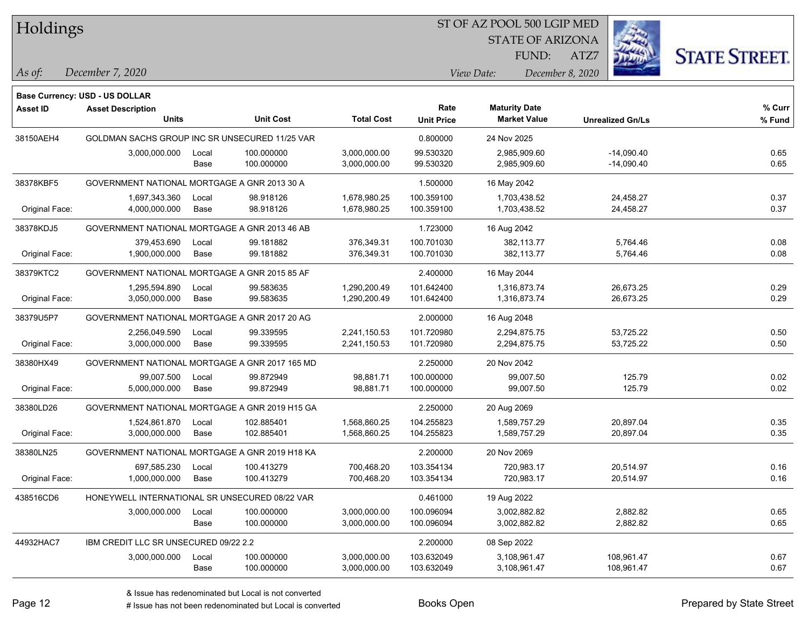#### ST OF AZ POOL 500 LGIP MED

STATE OF ARIZONA

ATZ7



*December 7, 2020 As of: View Date: December 8, 2020*

**Base Currency: USD - US DOLLAR**

| Asset ID       | <b>Asset Description</b>                       |       |                  |                   | Rate              | <b>Maturity Date</b> |                         | % Curr |
|----------------|------------------------------------------------|-------|------------------|-------------------|-------------------|----------------------|-------------------------|--------|
|                | <b>Units</b>                                   |       | <b>Unit Cost</b> | <b>Total Cost</b> | <b>Unit Price</b> | <b>Market Value</b>  | <b>Unrealized Gn/Ls</b> | % Fund |
| 38150AEH4      | GOLDMAN SACHS GROUP INC SR UNSECURED 11/25 VAR |       |                  |                   | 0.800000          | 24 Nov 2025          |                         |        |
|                | 3,000,000.000                                  | Local | 100.000000       | 3,000,000.00      | 99.530320         | 2,985,909.60         | $-14,090.40$            | 0.65   |
|                |                                                | Base  | 100.000000       | 3,000,000.00      | 99.530320         | 2,985,909.60         | $-14,090.40$            | 0.65   |
| 38378KBF5      | GOVERNMENT NATIONAL MORTGAGE A GNR 2013 30 A   |       |                  |                   | 1.500000          | 16 May 2042          |                         |        |
|                | 1,697,343.360                                  | Local | 98.918126        | 1,678,980.25      | 100.359100        | 1,703,438.52         | 24,458.27               | 0.37   |
| Original Face: | 4,000,000.000                                  | Base  | 98.918126        | 1,678,980.25      | 100.359100        | 1,703,438.52         | 24,458.27               | 0.37   |
| 38378KDJ5      | GOVERNMENT NATIONAL MORTGAGE A GNR 2013 46 AB  |       |                  |                   | 1.723000          | 16 Aug 2042          |                         |        |
|                | 379,453.690                                    | Local | 99.181882        | 376,349.31        | 100.701030        | 382,113.77           | 5,764.46                | 0.08   |
| Original Face: | 1,900,000.000                                  | Base  | 99.181882        | 376,349.31        | 100.701030        | 382,113.77           | 5,764.46                | 0.08   |
| 38379KTC2      | GOVERNMENT NATIONAL MORTGAGE A GNR 2015 85 AF  |       |                  |                   | 2.400000          | 16 May 2044          |                         |        |
|                | 1,295,594.890                                  | Local | 99.583635        | 1,290,200.49      | 101.642400        | 1,316,873.74         | 26,673.25               | 0.29   |
| Original Face: | 3,050,000.000                                  | Base  | 99.583635        | 1,290,200.49      | 101.642400        | 1,316,873.74         | 26,673.25               | 0.29   |
| 38379U5P7      | GOVERNMENT NATIONAL MORTGAGE A GNR 2017 20 AG  |       |                  |                   | 2.000000          | 16 Aug 2048          |                         |        |
|                | 2,256,049.590                                  | Local | 99.339595        | 2,241,150.53      | 101.720980        | 2,294,875.75         | 53,725.22               | 0.50   |
| Original Face: | 3,000,000.000                                  | Base  | 99.339595        | 2,241,150.53      | 101.720980        | 2,294,875.75         | 53,725.22               | 0.50   |
| 38380HX49      | GOVERNMENT NATIONAL MORTGAGE A GNR 2017 165 MD |       |                  |                   | 2.250000          | 20 Nov 2042          |                         |        |
|                | 99,007.500                                     | Local | 99.872949        | 98,881.71         | 100.000000        | 99,007.50            | 125.79                  | 0.02   |
| Original Face: | 5,000,000.000                                  | Base  | 99.872949        | 98,881.71         | 100.000000        | 99,007.50            | 125.79                  | 0.02   |
| 38380LD26      | GOVERNMENT NATIONAL MORTGAGE A GNR 2019 H15 GA |       |                  |                   | 2.250000          | 20 Aug 2069          |                         |        |
|                | 1,524,861.870                                  | Local | 102.885401       | 1,568,860.25      | 104.255823        | 1,589,757.29         | 20,897.04               | 0.35   |
| Original Face: | 3,000,000.000                                  | Base  | 102.885401       | 1,568,860.25      | 104.255823        | 1,589,757.29         | 20,897.04               | 0.35   |
| 38380LN25      | GOVERNMENT NATIONAL MORTGAGE A GNR 2019 H18 KA |       |                  |                   | 2.200000          | 20 Nov 2069          |                         |        |
|                | 697,585.230                                    | Local | 100.413279       | 700,468.20        | 103.354134        | 720,983.17           | 20,514.97               | 0.16   |
| Original Face: | 1,000,000.000                                  | Base  | 100.413279       | 700,468.20        | 103.354134        | 720,983.17           | 20,514.97               | 0.16   |
| 438516CD6      | HONEYWELL INTERNATIONAL SR UNSECURED 08/22 VAR |       |                  |                   | 0.461000          | 19 Aug 2022          |                         |        |
|                | 3,000,000.000                                  | Local | 100.000000       | 3,000,000.00      | 100.096094        | 3,002,882.82         | 2,882.82                | 0.65   |
|                |                                                | Base  | 100.000000       | 3,000,000.00      | 100.096094        | 3,002,882.82         | 2,882.82                | 0.65   |
| 44932HAC7      | IBM CREDIT LLC SR UNSECURED 09/22 2.2          |       |                  |                   | 2.200000          | 08 Sep 2022          |                         |        |
|                | 3,000,000.000                                  | Local | 100.000000       | 3,000,000.00      | 103.632049        | 3,108,961.47         | 108,961.47              | 0.67   |
|                |                                                | Base  | 100.000000       | 3,000,000.00      | 103.632049        | 3,108,961.47         | 108,961.47              | 0.67   |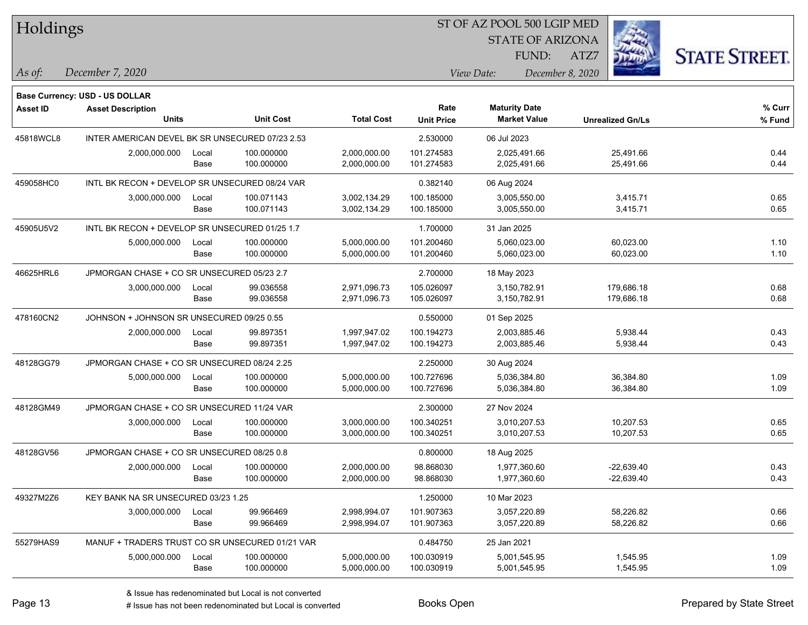| Holdings        |                                                 |       |                  |                   |                   | ST OF AZ POOL 500 LGIP MED |                         |                         |                      |
|-----------------|-------------------------------------------------|-------|------------------|-------------------|-------------------|----------------------------|-------------------------|-------------------------|----------------------|
|                 |                                                 |       |                  |                   |                   |                            | <b>STATE OF ARIZONA</b> |                         |                      |
|                 |                                                 |       |                  |                   |                   |                            | FUND:<br>ATZ7           |                         | <b>STATE STREET.</b> |
| As of:          | December 7, 2020                                |       |                  |                   |                   | View Date:                 | December 8, 2020        |                         |                      |
|                 | Base Currency: USD - US DOLLAR                  |       |                  |                   |                   |                            |                         |                         |                      |
| <b>Asset ID</b> | <b>Asset Description</b>                        |       |                  |                   | Rate              | <b>Maturity Date</b>       |                         |                         | % Curr               |
|                 | <b>Units</b>                                    |       | <b>Unit Cost</b> | <b>Total Cost</b> | <b>Unit Price</b> | <b>Market Value</b>        |                         | <b>Unrealized Gn/Ls</b> | % Fund               |
| 45818WCL8       | INTER AMERICAN DEVEL BK SR UNSECURED 07/23 2.53 |       |                  |                   | 2.530000          | 06 Jul 2023                |                         |                         |                      |
|                 | 2,000,000.000                                   | Local | 100.000000       | 2,000,000.00      | 101.274583        | 2.025.491.66               |                         | 25,491.66               | 0.44                 |
|                 |                                                 | Base  | 100.000000       | 2,000,000.00      | 101.274583        | 2,025,491.66               |                         | 25,491.66               | 0.44                 |
| 459058HC0       | INTL BK RECON + DEVELOP SR UNSECURED 08/24 VAR  |       |                  |                   | 0.382140          | 06 Aug 2024                |                         |                         |                      |
|                 | 3,000,000.000                                   | Local | 100.071143       | 3,002,134.29      | 100.185000        | 3,005,550.00               |                         | 3,415.71                | 0.65                 |
|                 |                                                 | Base  | 100.071143       | 3,002,134.29      | 100.185000        | 3,005,550.00               |                         | 3,415.71                | 0.65                 |
| 45905U5V2       | INTL BK RECON + DEVELOP SR UNSECURED 01/25 1.7  |       |                  |                   | 1.700000          | 31 Jan 2025                |                         |                         |                      |
|                 | 5,000,000.000                                   | Local | 100.000000       | 5,000,000.00      | 101.200460        | 5,060,023.00               |                         | 60,023.00               | 1.10                 |
|                 |                                                 | Base  | 100.000000       | 5,000,000.00      | 101.200460        | 5,060,023.00               |                         | 60,023.00               | 1.10                 |
| 46625HRL6       | JPMORGAN CHASE + CO SR UNSECURED 05/23 2.7      |       |                  |                   | 2.700000          | 18 May 2023                |                         |                         |                      |
|                 | 3,000,000.000                                   | Local | 99.036558        | 2,971,096.73      | 105.026097        | 3,150,782.91               |                         | 179,686.18              | 0.68                 |
|                 |                                                 | Base  | 99.036558        | 2,971,096.73      | 105.026097        | 3,150,782.91               |                         | 179,686.18              | 0.68                 |
| 478160CN2       | JOHNSON + JOHNSON SR UNSECURED 09/25 0.55       |       |                  |                   | 0.550000          | 01 Sep 2025                |                         |                         |                      |
|                 | 2,000,000.000                                   | Local | 99.897351        | 1,997,947.02      | 100.194273        | 2,003,885.46               |                         | 5,938.44                | 0.43                 |
|                 |                                                 | Base  | 99.897351        | 1,997,947.02      | 100.194273        | 2,003,885.46               |                         | 5,938.44                | 0.43                 |
| 48128GG79       | JPMORGAN CHASE + CO SR UNSECURED 08/24 2.25     |       |                  |                   | 2.250000          | 30 Aug 2024                |                         |                         |                      |
|                 | 5,000,000.000                                   | Local | 100.000000       | 5,000,000.00      | 100.727696        | 5,036,384.80               |                         | 36,384.80               | 1.09                 |
|                 |                                                 | Base  | 100.000000       | 5,000,000.00      | 100.727696        | 5,036,384.80               |                         | 36,384.80               | 1.09                 |
| 48128GM49       | JPMORGAN CHASE + CO SR UNSECURED 11/24 VAR      |       |                  |                   | 2.300000          | 27 Nov 2024                |                         |                         |                      |
|                 | 3,000,000.000                                   | Local | 100.000000       | 3,000,000.00      | 100.340251        | 3,010,207.53               |                         | 10,207.53               | 0.65                 |
|                 |                                                 | Base  | 100.000000       | 3,000,000.00      | 100.340251        | 3,010,207.53               |                         | 10,207.53               | 0.65                 |
| 48128GV56       | JPMORGAN CHASE + CO SR UNSECURED 08/25 0.8      |       |                  |                   | 0.800000          | 18 Aug 2025                |                         |                         |                      |
|                 | 2,000,000.000                                   | Local | 100.000000       | 2,000,000.00      | 98.868030         | 1,977,360.60               |                         | $-22.639.40$            | 0.43                 |
|                 |                                                 | Base  | 100.000000       | 2,000,000.00      | 98.868030         | 1,977,360.60               |                         | $-22,639.40$            | 0.43                 |
| 49327M2Z6       | KEY BANK NA SR UNSECURED 03/23 1.25             |       |                  |                   | 1.250000          | 10 Mar 2023                |                         |                         |                      |
|                 | 3,000,000.000                                   | Local | 99.966469        | 2,998,994.07      | 101.907363        | 3,057,220.89               |                         | 58,226.82               | 0.66                 |
|                 |                                                 | Base  | 99.966469        | 2,998,994.07      | 101.907363        | 3,057,220.89               |                         | 58,226.82               | 0.66                 |
| 55279HAS9       | MANUF + TRADERS TRUST CO SR UNSECURED 01/21 VAR |       |                  |                   | 0.484750          | 25 Jan 2021                |                         |                         |                      |
|                 | 5,000,000.000                                   | Local | 100.000000       | 5,000,000.00      | 100.030919        | 5,001,545.95               |                         | 1,545.95                | 1.09                 |
|                 |                                                 | Base  | 100.000000       | 5,000,000.00      | 100.030919        | 5,001,545.95               |                         | 1,545.95                | 1.09                 |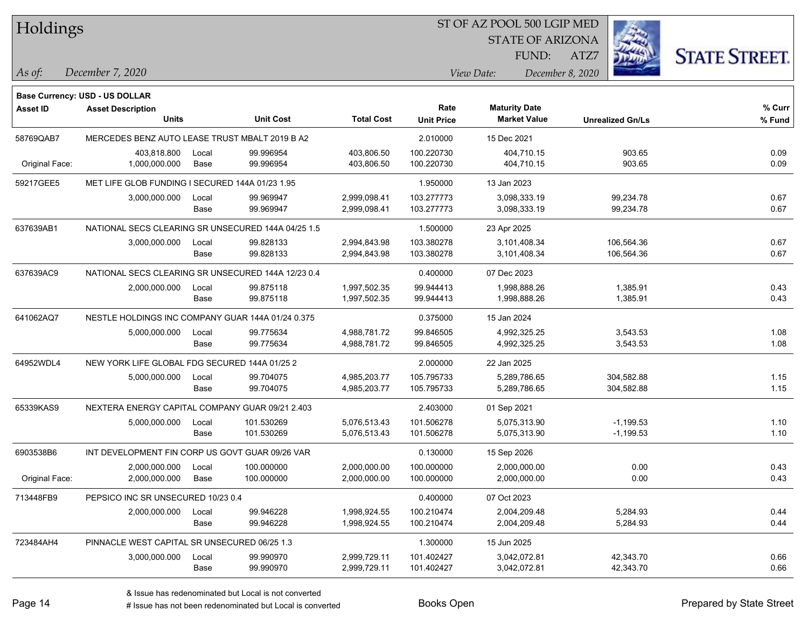| 51 OF AZ POOL 500 LGIP MED<br>Holdings |                                                    |       |                  |                   |                   |                         |                         |                     |
|----------------------------------------|----------------------------------------------------|-------|------------------|-------------------|-------------------|-------------------------|-------------------------|---------------------|
|                                        |                                                    |       |                  |                   |                   | <b>STATE OF ARIZONA</b> |                         |                     |
|                                        |                                                    |       |                  |                   |                   | FUND:                   | ATZ7                    | <b>STATE STREET</b> |
| As of:                                 | December 7, 2020                                   |       |                  |                   |                   | View Date:              | December 8, 2020        |                     |
|                                        |                                                    |       |                  |                   |                   |                         |                         |                     |
|                                        | <b>Base Currency: USD - US DOLLAR</b>              |       |                  |                   |                   |                         |                         |                     |
| <b>Asset ID</b>                        | <b>Asset Description</b><br><b>Units</b>           |       |                  | <b>Total Cost</b> | Rate              | <b>Maturity Date</b>    |                         | % Curr              |
|                                        |                                                    |       | <b>Unit Cost</b> |                   | <b>Unit Price</b> | <b>Market Value</b>     | <b>Unrealized Gn/Ls</b> | % Fund              |
| 58769QAB7                              | MERCEDES BENZ AUTO LEASE TRUST MBALT 2019 B A2     |       |                  |                   | 2.010000          | 15 Dec 2021             |                         |                     |
|                                        | 403.818.800                                        | Local | 99.996954        | 403,806.50        | 100.220730        | 404,710.15              | 903.65                  | 0.09                |
| Original Face:                         | 1,000,000.000                                      | Base  | 99.996954        | 403,806.50        | 100.220730        | 404,710.15              | 903.65                  | 0.09                |
| 59217GEE5                              | MET LIFE GLOB FUNDING I SECURED 144A 01/23 1.95    |       |                  |                   | 1.950000          | 13 Jan 2023             |                         |                     |
|                                        | 3,000,000.000                                      | Local | 99.969947        | 2,999,098.41      | 103.277773        | 3,098,333.19            | 99,234.78               | 0.67                |
|                                        |                                                    | Base  | 99.969947        | 2,999,098.41      | 103.277773        | 3,098,333.19            | 99,234.78               | 0.67                |
| 637639AB1                              | NATIONAL SECS CLEARING SR UNSECURED 144A 04/25 1.5 |       |                  |                   | 1.500000          | 23 Apr 2025             |                         |                     |
|                                        | 3,000,000.000                                      | Local | 99.828133        | 2,994,843.98      | 103.380278        | 3,101,408.34            | 106,564.36              | 0.67                |
|                                        |                                                    | Base  | 99.828133        | 2,994,843.98      | 103.380278        | 3,101,408.34            | 106,564.36              | 0.67                |
| 637639AC9                              | NATIONAL SECS CLEARING SR UNSECURED 144A 12/23 0.4 |       |                  |                   | 0.400000          | 07 Dec 2023             |                         |                     |
|                                        | 2,000,000.000                                      | Local | 99.875118        | 1,997,502.35      | 99.944413         | 1,998,888.26            | 1,385.91                | 0.43                |
|                                        |                                                    | Base  | 99.875118        | 1,997,502.35      | 99.944413         | 1,998,888.26            | 1,385.91                | 0.43                |
| 641062AQ7                              | NESTLE HOLDINGS INC COMPANY GUAR 144A 01/24 0.375  |       |                  |                   | 0.375000          | 15 Jan 2024             |                         |                     |
|                                        | 5,000,000.000                                      | Local | 99.775634        | 4,988,781.72      | 99.846505         | 4,992,325.25            | 3,543.53                | 1.08                |
|                                        |                                                    | Base  | 99.775634        | 4,988,781.72      | 99.846505         | 4,992,325.25            | 3,543.53                | 1.08                |
| 64952WDL4                              | NEW YORK LIFE GLOBAL FDG SECURED 144A 01/25 2      |       |                  |                   | 2.000000          | 22 Jan 2025             |                         |                     |
|                                        | 5,000,000.000                                      | Local | 99.704075        | 4,985,203.77      | 105.795733        | 5,289,786.65            | 304,582.88              | 1.15                |
|                                        |                                                    | Base  | 99.704075        | 4,985,203.77      | 105.795733        | 5,289,786.65            | 304,582.88              | 1.15                |
| 65339KAS9                              | NEXTERA ENERGY CAPITAL COMPANY GUAR 09/21 2.403    |       |                  |                   | 2.403000          | 01 Sep 2021             |                         |                     |
|                                        | 5,000,000.000                                      | Local | 101.530269       | 5,076,513.43      | 101.506278        | 5,075,313.90            | $-1,199.53$             | 1.10                |
|                                        |                                                    | Base  | 101.530269       | 5,076,513.43      | 101.506278        | 5,075,313.90            | $-1,199.53$             | 1.10                |
| 6903538B6                              | INT DEVELOPMENT FIN CORP US GOVT GUAR 09/26 VAR    |       |                  |                   | 0.130000          | 15 Sep 2026             |                         |                     |
|                                        | 2,000,000.000                                      | Local | 100.000000       | 2,000,000.00      | 100.000000        | 2,000,000.00            | 0.00                    | 0.43                |
| Original Face:                         | 2,000,000.000                                      | Base  | 100.000000       | 2,000,000.00      | 100.000000        | 2,000,000.00            | 0.00                    | 0.43                |
| 713448FB9                              | PEPSICO INC SR UNSECURED 10/23 0.4                 |       |                  |                   | 0.400000          | 07 Oct 2023             |                         |                     |
|                                        | 2,000,000.000                                      | Local | 99.946228        | 1,998,924.55      | 100.210474        | 2,004,209.48            | 5,284.93                | 0.44                |
|                                        |                                                    | Base  | 99.946228        | 1,998,924.55      | 100.210474        | 2,004,209.48            | 5,284.93                | 0.44                |
| 723484AH4                              | PINNACLE WEST CAPITAL SR UNSECURED 06/25 1.3       |       |                  |                   | 1.300000          | 15 Jun 2025             |                         |                     |
|                                        | 3,000,000.000                                      | Local | 99.990970        | 2,999,729.11      | 101.402427        | 3,042,072.81            | 42,343.70               | 0.66                |
|                                        |                                                    | Base  | 99.990970        | 2,999,729.11      | 101.402427        | 3,042,072.81            | 42,343.70               | 0.66                |

 $\overline{\text{S}}$  of  $\overline{\text{S}}$  and  $\overline{\text{S}}$  and  $\overline{\text{S}}$  and  $\overline{\text{S}}$  and  $\overline{\text{S}}$ 

٦

designative redenominated but Local is converted Books Open Prepared by State Street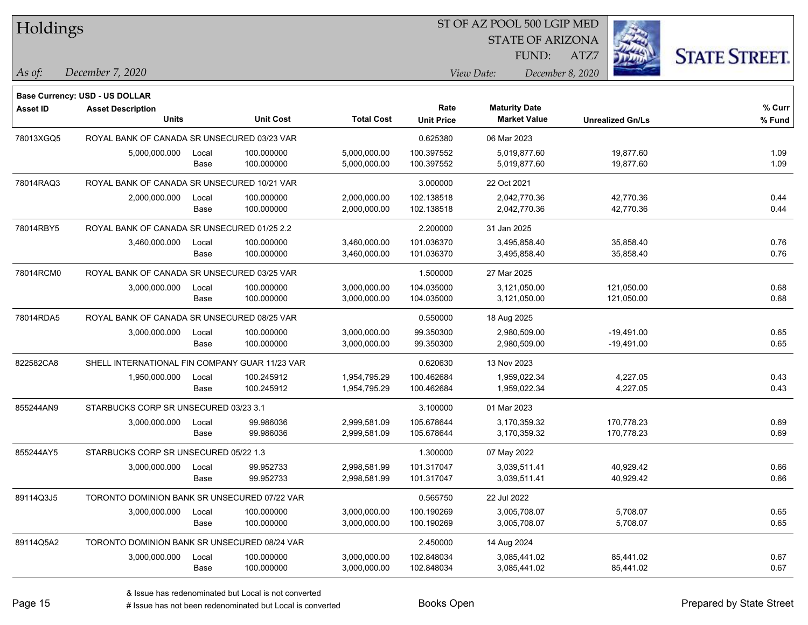| Holdings        |                                                |       |                  |                   |                   | ST OF AZ POOL 500 LGIP MED |                         |                      |
|-----------------|------------------------------------------------|-------|------------------|-------------------|-------------------|----------------------------|-------------------------|----------------------|
|                 |                                                |       |                  |                   |                   | <b>STATE OF ARIZONA</b>    |                         |                      |
|                 |                                                |       |                  |                   |                   | FUND:                      | ATZ7                    | <b>STATE STREET.</b> |
| As of:          | December 7, 2020                               |       |                  |                   |                   | View Date:                 | December 8, 2020        |                      |
|                 | Base Currency: USD - US DOLLAR                 |       |                  |                   |                   |                            |                         |                      |
| <b>Asset ID</b> | <b>Asset Description</b>                       |       |                  |                   | Rate              | <b>Maturity Date</b>       |                         | % Curr               |
|                 | <b>Units</b>                                   |       | <b>Unit Cost</b> | <b>Total Cost</b> | <b>Unit Price</b> | <b>Market Value</b>        | <b>Unrealized Gn/Ls</b> | % Fund               |
| 78013XGQ5       | ROYAL BANK OF CANADA SR UNSECURED 03/23 VAR    |       |                  |                   | 0.625380          | 06 Mar 2023                |                         |                      |
|                 | 5,000,000.000                                  | Local | 100.000000       | 5,000,000.00      | 100.397552        | 5,019,877.60               | 19,877.60               | 1.09                 |
|                 |                                                | Base  | 100.000000       | 5,000,000.00      | 100.397552        | 5,019,877.60               | 19,877.60               | 1.09                 |
| 78014RAQ3       | ROYAL BANK OF CANADA SR UNSECURED 10/21 VAR    |       |                  |                   | 3.000000          | 22 Oct 2021                |                         |                      |
|                 | 2,000,000.000                                  | Local | 100.000000       | 2,000,000.00      | 102.138518        | 2,042,770.36               | 42,770.36               | 0.44                 |
|                 |                                                | Base  | 100.000000       | 2,000,000.00      | 102.138518        | 2,042,770.36               | 42,770.36               | 0.44                 |
| 78014RBY5       | ROYAL BANK OF CANADA SR UNSECURED 01/25 2.2    |       |                  |                   | 2.200000          | 31 Jan 2025                |                         |                      |
|                 | 3,460,000.000                                  | Local | 100.000000       | 3,460,000.00      | 101.036370        | 3,495,858.40               | 35,858.40               | 0.76                 |
|                 |                                                | Base  | 100.000000       | 3,460,000.00      | 101.036370        | 3,495,858.40               | 35,858.40               | 0.76                 |
| 78014RCM0       | ROYAL BANK OF CANADA SR UNSECURED 03/25 VAR    |       |                  |                   | 1.500000          | 27 Mar 2025                |                         |                      |
|                 | 3,000,000.000                                  | Local | 100.000000       | 3,000,000.00      | 104.035000        | 3,121,050.00               | 121,050.00              | 0.68                 |
|                 |                                                | Base  | 100.000000       | 3,000,000.00      | 104.035000        | 3,121,050.00               | 121,050.00              | 0.68                 |
| 78014RDA5       | ROYAL BANK OF CANADA SR UNSECURED 08/25 VAR    |       |                  |                   | 0.550000          | 18 Aug 2025                |                         |                      |
|                 | 3,000,000.000                                  | Local | 100.000000       | 3,000,000.00      | 99.350300         | 2,980,509.00               | $-19,491.00$            | 0.65                 |
|                 |                                                | Base  | 100.000000       | 3,000,000.00      | 99.350300         | 2,980,509.00               | $-19,491.00$            | 0.65                 |
| 822582CA8       | SHELL INTERNATIONAL FIN COMPANY GUAR 11/23 VAR |       |                  |                   | 0.620630          | 13 Nov 2023                |                         |                      |
|                 | 1,950,000.000                                  | Local | 100.245912       | 1,954,795.29      | 100.462684        | 1,959,022.34               | 4,227.05                | 0.43                 |
|                 |                                                | Base  | 100.245912       | 1,954,795.29      | 100.462684        | 1,959,022.34               | 4,227.05                | 0.43                 |
| 855244AN9       | STARBUCKS CORP SR UNSECURED 03/23 3.1          |       |                  |                   | 3.100000          | 01 Mar 2023                |                         |                      |
|                 | 3,000,000.000                                  | Local | 99.986036        | 2,999,581.09      | 105.678644        | 3,170,359.32               | 170,778.23              | 0.69                 |
|                 |                                                | Base  | 99.986036        | 2,999,581.09      | 105.678644        | 3,170,359.32               | 170,778.23              | 0.69                 |
| 855244AY5       | STARBUCKS CORP SR UNSECURED 05/22 1.3          |       |                  |                   | 1.300000          | 07 May 2022                |                         |                      |
|                 | 3,000,000.000                                  | Local | 99.952733        | 2,998,581.99      | 101.317047        | 3,039,511.41               | 40,929.42               | 0.66                 |
|                 |                                                | Base  | 99.952733        | 2,998,581.99      | 101.317047        | 3,039,511.41               | 40,929.42               | 0.66                 |
| 89114Q3J5       | TORONTO DOMINION BANK SR UNSECURED 07/22 VAR   |       |                  |                   | 0.565750          | 22 Jul 2022                |                         |                      |
|                 | 3,000,000.000                                  | Local | 100.000000       | 3,000,000.00      | 100.190269        | 3,005,708.07               | 5,708.07                | 0.65                 |
|                 |                                                | Base  | 100.000000       | 3,000,000.00      | 100.190269        | 3,005,708.07               | 5,708.07                | 0.65                 |
| 89114Q5A2       | TORONTO DOMINION BANK SR UNSECURED 08/24 VAR   |       |                  |                   | 2.450000          | 14 Aug 2024                |                         |                      |
|                 | 3,000,000.000                                  | Local | 100.000000       | 3,000,000.00      | 102.848034        | 3,085,441.02               | 85,441.02               | 0.67                 |
|                 |                                                | Base  | 100.000000       | 3,000,000.00      | 102.848034        | 3,085,441.02               | 85,441.02               | 0.67                 |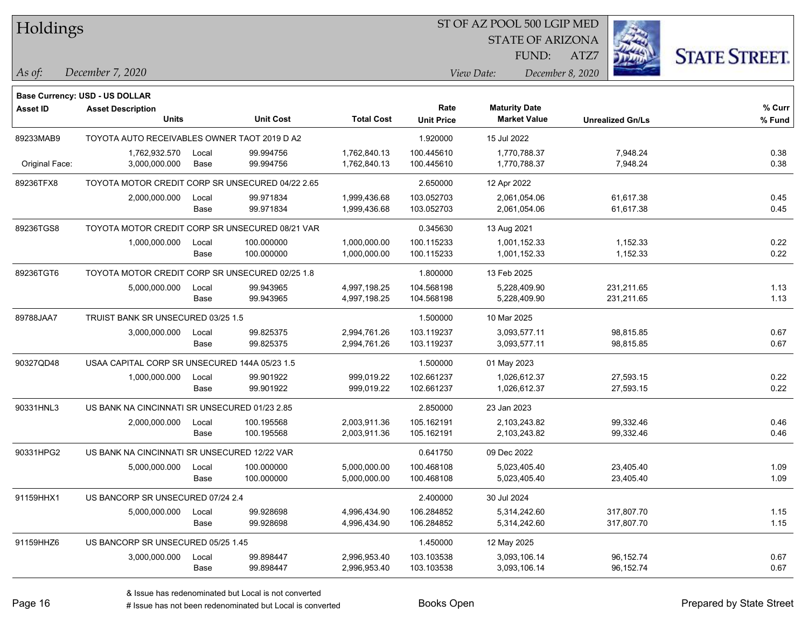| Holdings        |                                                  |       |                  |                   |                   | ST OF AZ POOL 500 LGIP MED                  |                         |                      |
|-----------------|--------------------------------------------------|-------|------------------|-------------------|-------------------|---------------------------------------------|-------------------------|----------------------|
|                 |                                                  |       |                  |                   |                   | <b>STATE OF ARIZONA</b>                     |                         |                      |
|                 |                                                  |       |                  |                   |                   | FUND:                                       | ATZ7                    | <b>STATE STREET.</b> |
| $\vert$ As of:  | December 7, 2020                                 |       |                  |                   |                   | View Date:                                  | December 8, 2020        |                      |
|                 |                                                  |       |                  |                   |                   |                                             |                         |                      |
|                 | <b>Base Currency: USD - US DOLLAR</b>            |       |                  |                   |                   |                                             |                         |                      |
| <b>Asset ID</b> | <b>Asset Description</b><br>Units                |       | <b>Unit Cost</b> | <b>Total Cost</b> | Rate              | <b>Maturity Date</b><br><b>Market Value</b> | <b>Unrealized Gn/Ls</b> | % Curr               |
|                 |                                                  |       |                  |                   | <b>Unit Price</b> |                                             |                         | $%$ Fund             |
| 89233MAB9       | TOYOTA AUTO RECEIVABLES OWNER TAOT 2019 D A2     |       |                  |                   | 1.920000          | 15 Jul 2022                                 |                         |                      |
|                 | 1,762,932.570                                    | Local | 99.994756        | 1,762,840.13      | 100.445610        | 1.770.788.37                                | 7,948.24                | 0.38                 |
| Original Face:  | 3,000,000.000                                    | Base  | 99.994756        | 1,762,840.13      | 100.445610        | 1,770,788.37                                | 7,948.24                | 0.38                 |
| 89236TFX8       | TOYOTA MOTOR CREDIT CORP SR UNSECURED 04/22 2.65 |       |                  |                   | 2.650000          | 12 Apr 2022                                 |                         |                      |
|                 | 2,000,000.000                                    | Local | 99.971834        | 1,999,436.68      | 103.052703        | 2,061,054.06                                | 61,617.38               | 0.45                 |
|                 |                                                  | Base  | 99.971834        | 1,999,436.68      | 103.052703        | 2,061,054.06                                | 61,617.38               | 0.45                 |
| 89236TGS8       | TOYOTA MOTOR CREDIT CORP SR UNSECURED 08/21 VAR  |       |                  |                   | 0.345630          | 13 Aug 2021                                 |                         |                      |
|                 | 1,000,000.000                                    | Local | 100.000000       | 1,000,000.00      | 100.115233        | 1,001,152.33                                | 1,152.33                | 0.22                 |
|                 |                                                  | Base  | 100.000000       | 1,000,000.00      | 100.115233        | 1,001,152.33                                | 1,152.33                | 0.22                 |
| 89236TGT6       | TOYOTA MOTOR CREDIT CORP SR UNSECURED 02/25 1.8  |       |                  |                   | 1.800000          | 13 Feb 2025                                 |                         |                      |
|                 | 5,000,000.000                                    | Local | 99.943965        | 4,997,198.25      | 104.568198        | 5,228,409.90                                | 231,211.65              | 1.13                 |
|                 |                                                  | Base  | 99.943965        | 4,997,198.25      | 104.568198        | 5,228,409.90                                | 231,211.65              | 1.13                 |
| 89788JAA7       | TRUIST BANK SR UNSECURED 03/25 1.5               |       |                  |                   | 1.500000          | 10 Mar 2025                                 |                         |                      |
|                 | 3,000,000.000                                    | Local | 99.825375        | 2,994,761.26      | 103.119237        | 3,093,577.11                                | 98,815.85               | 0.67                 |
|                 |                                                  | Base  | 99.825375        | 2,994,761.26      | 103.119237        | 3,093,577.11                                | 98,815.85               | 0.67                 |
| 90327QD48       | USAA CAPITAL CORP SR UNSECURED 144A 05/23 1.5    |       |                  |                   | 1.500000          | 01 May 2023                                 |                         |                      |
|                 | 1,000,000.000                                    | Local | 99.901922        | 999,019.22        | 102.661237        | 1,026,612.37                                | 27,593.15               | 0.22                 |
|                 |                                                  | Base  | 99.901922        | 999,019.22        | 102.661237        | 1,026,612.37                                | 27,593.15               | 0.22                 |
| 90331HNL3       | US BANK NA CINCINNATI SR UNSECURED 01/23 2.85    |       |                  |                   | 2.850000          | 23 Jan 2023                                 |                         |                      |
|                 | 2,000,000.000                                    | Local | 100.195568       | 2,003,911.36      | 105.162191        | 2,103,243.82                                | 99,332.46               | 0.46                 |
|                 |                                                  | Base  | 100.195568       | 2,003,911.36      | 105.162191        | 2,103,243.82                                | 99,332.46               | 0.46                 |
| 90331HPG2       | US BANK NA CINCINNATI SR UNSECURED 12/22 VAR     |       |                  |                   | 0.641750          | 09 Dec 2022                                 |                         |                      |
|                 | 5,000,000.000                                    | Local | 100.000000       | 5,000,000.00      | 100.468108        | 5,023,405.40                                | 23,405.40               | 1.09                 |
|                 |                                                  | Base  | 100.000000       | 5,000,000.00      | 100.468108        | 5,023,405.40                                | 23,405.40               | 1.09                 |
| 91159HHX1       | US BANCORP SR UNSECURED 07/24 2.4                |       |                  |                   | 2.400000          | 30 Jul 2024                                 |                         |                      |
|                 | 5,000,000.000                                    | Local | 99.928698        | 4,996,434.90      | 106.284852        | 5,314,242.60                                | 317,807.70              | 1.15                 |
|                 |                                                  | Base  | 99.928698        | 4,996,434.90      | 106.284852        | 5,314,242.60                                | 317,807.70              | 1.15                 |
| 91159HHZ6       | US BANCORP SR UNSECURED 05/25 1.45               |       |                  |                   | 1.450000          | 12 May 2025                                 |                         |                      |
|                 | 3,000,000.000                                    | Local | 99.898447        | 2,996,953.40      | 103.103538        | 3,093,106.14                                | 96,152.74               | 0.67                 |
|                 |                                                  | Base  | 99.898447        | 2,996,953.40      | 103.103538        | 3,093,106.14                                | 96,152.74               | 0.67                 |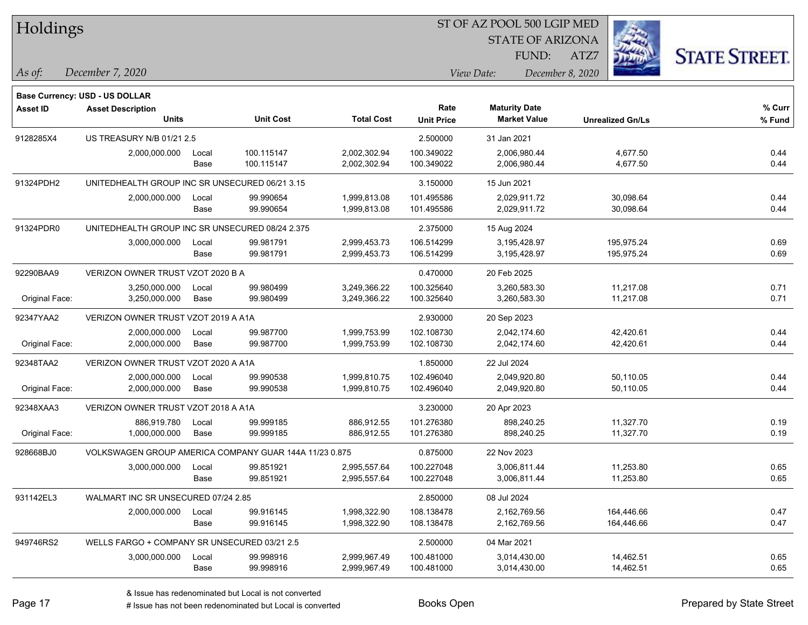| Holdings        |                                                        |       |                  |                   | ST OF AZ POOL 500 LGIP MED |                      |                         |      |                         |                      |
|-----------------|--------------------------------------------------------|-------|------------------|-------------------|----------------------------|----------------------|-------------------------|------|-------------------------|----------------------|
|                 |                                                        |       |                  |                   |                            |                      | <b>STATE OF ARIZONA</b> |      |                         |                      |
|                 |                                                        |       |                  |                   |                            |                      | FUND:                   | ATZ7 |                         | <b>STATE STREET.</b> |
| As of:          | December 7, 2020                                       |       |                  |                   |                            | View Date:           | December 8, 2020        |      |                         |                      |
|                 | <b>Base Currency: USD - US DOLLAR</b>                  |       |                  |                   |                            |                      |                         |      |                         |                      |
| <b>Asset ID</b> | <b>Asset Description</b><br><b>Units</b>               |       | <b>Unit Cost</b> | <b>Total Cost</b> | Rate<br><b>Unit Price</b>  | <b>Maturity Date</b> | <b>Market Value</b>     |      | <b>Unrealized Gn/Ls</b> | % Curr<br>% Fund     |
| 9128285X4       | US TREASURY N/B 01/21 2.5                              |       |                  |                   | 2.500000                   | 31 Jan 2021          |                         |      |                         |                      |
|                 | 2,000,000.000                                          | Local | 100.115147       | 2,002,302.94      | 100.349022                 |                      | 2,006,980.44            |      | 4,677.50                | 0.44                 |
|                 |                                                        | Base  | 100.115147       | 2,002,302.94      | 100.349022                 |                      | 2,006,980.44            |      | 4,677.50                | 0.44                 |
| 91324PDH2       | UNITEDHEALTH GROUP INC SR UNSECURED 06/21 3.15         |       |                  |                   | 3.150000                   | 15 Jun 2021          |                         |      |                         |                      |
|                 | 2,000,000.000                                          | Local | 99.990654        | 1,999,813.08      | 101.495586                 |                      | 2,029,911.72            |      | 30,098.64               | 0.44                 |
|                 |                                                        | Base  | 99.990654        | 1,999,813.08      | 101.495586                 |                      | 2,029,911.72            |      | 30,098.64               | 0.44                 |
| 91324PDR0       | UNITEDHEALTH GROUP INC SR UNSECURED 08/24 2.375        |       |                  |                   | 2.375000                   | 15 Aug 2024          |                         |      |                         |                      |
|                 | 3,000,000.000                                          | Local | 99.981791        | 2,999,453.73      | 106.514299                 |                      | 3,195,428.97            |      | 195,975.24              | 0.69                 |
|                 |                                                        | Base  | 99.981791        | 2,999,453.73      | 106.514299                 |                      | 3,195,428.97            |      | 195,975.24              | 0.69                 |
| 92290BAA9       | VERIZON OWNER TRUST VZOT 2020 B A                      |       |                  |                   | 0.470000                   | 20 Feb 2025          |                         |      |                         |                      |
|                 | 3,250,000.000                                          | Local | 99.980499        | 3,249,366.22      | 100.325640                 |                      | 3,260,583.30            |      | 11,217.08               | 0.71                 |
| Original Face:  | 3,250,000.000                                          | Base  | 99.980499        | 3,249,366.22      | 100.325640                 |                      | 3,260,583.30            |      | 11,217.08               | 0.71                 |
| 92347YAA2       | VERIZON OWNER TRUST VZOT 2019 A A1A                    |       |                  |                   | 2.930000                   | 20 Sep 2023          |                         |      |                         |                      |
|                 | 2,000,000.000                                          | Local | 99.987700        | 1,999,753.99      | 102.108730                 |                      | 2,042,174.60            |      | 42,420.61               | 0.44                 |
| Original Face:  | 2,000,000.000                                          | Base  | 99.987700        | 1,999,753.99      | 102.108730                 |                      | 2,042,174.60            |      | 42,420.61               | 0.44                 |
| 92348TAA2       | VERIZON OWNER TRUST VZOT 2020 A A1A                    |       |                  |                   | 1.850000                   | 22 Jul 2024          |                         |      |                         |                      |
|                 | 2,000,000.000                                          | Local | 99.990538        | 1,999,810.75      | 102.496040                 |                      | 2,049,920.80            |      | 50,110.05               | 0.44                 |
| Original Face:  | 2,000,000.000                                          | Base  | 99.990538        | 1,999,810.75      | 102.496040                 |                      | 2,049,920.80            |      | 50,110.05               | 0.44                 |
| 92348XAA3       | VERIZON OWNER TRUST VZOT 2018 A A1A                    |       |                  |                   | 3.230000                   | 20 Apr 2023          |                         |      |                         |                      |
|                 | 886,919.780                                            | Local | 99.999185        | 886,912.55        | 101.276380                 |                      | 898,240.25              |      | 11,327.70               | 0.19                 |
| Original Face:  | 1,000,000.000                                          | Base  | 99.999185        | 886,912.55        | 101.276380                 |                      | 898,240.25              |      | 11,327.70               | 0.19                 |
| 928668BJ0       | VOLKSWAGEN GROUP AMERICA COMPANY GUAR 144A 11/23 0.875 |       |                  |                   | 0.875000                   | 22 Nov 2023          |                         |      |                         |                      |
|                 | 3,000,000.000                                          | Local | 99.851921        | 2,995,557.64      | 100.227048                 |                      | 3,006,811.44            |      | 11,253.80               | 0.65                 |
|                 |                                                        | Base  | 99.851921        | 2,995,557.64      | 100.227048                 |                      | 3,006,811.44            |      | 11,253.80               | 0.65                 |
| 931142EL3       | WALMART INC SR UNSECURED 07/24 2.85                    |       |                  |                   | 2.850000                   | 08 Jul 2024          |                         |      |                         |                      |
|                 | 2,000,000.000                                          | Local | 99.916145        | 1,998,322.90      | 108.138478                 |                      | 2,162,769.56            |      | 164,446.66              | 0.47                 |
|                 |                                                        | Base  | 99.916145        | 1,998,322.90      | 108.138478                 |                      | 2,162,769.56            |      | 164,446.66              | 0.47                 |
| 949746RS2       | WELLS FARGO + COMPANY SR UNSECURED 03/21 2.5           |       |                  |                   | 2.500000                   | 04 Mar 2021          |                         |      |                         |                      |
|                 | 3,000,000.000                                          | Local | 99.998916        | 2,999,967.49      | 100.481000                 |                      | 3,014,430.00            |      | 14,462.51               | 0.65                 |
|                 |                                                        | Base  | 99.998916        | 2,999,967.49      | 100.481000                 |                      | 3,014,430.00            |      | 14,462.51               | 0.65                 |

designative redenominated but Local is converted Books Open Prepared by State Street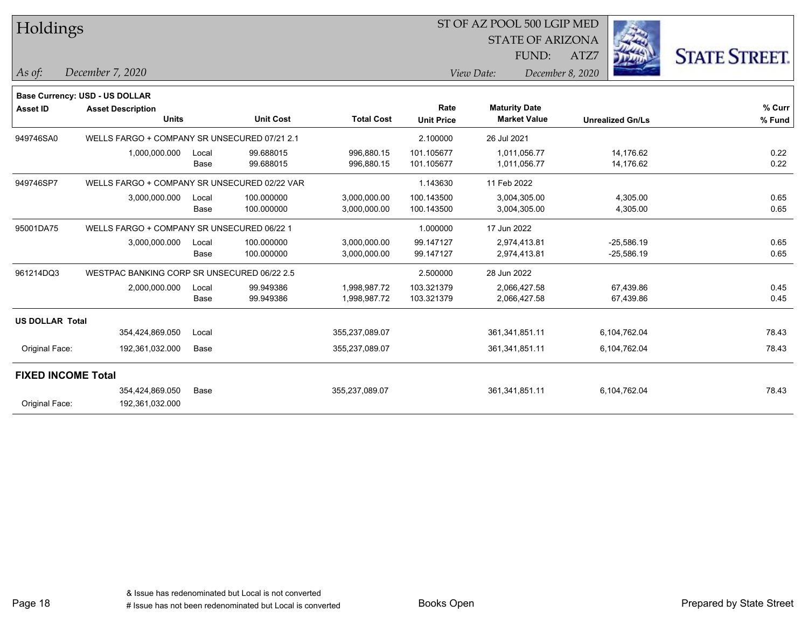| Holdings                  |                                              |                                              |                  |                   |                   |                         |                         |              |                      |
|---------------------------|----------------------------------------------|----------------------------------------------|------------------|-------------------|-------------------|-------------------------|-------------------------|--------------|----------------------|
|                           |                                              |                                              |                  |                   |                   | <b>STATE OF ARIZONA</b> |                         |              |                      |
|                           |                                              |                                              |                  |                   |                   | FUND:                   | ATZ7                    |              | <b>STATE STREET.</b> |
| As of:                    | December 7, 2020                             |                                              |                  |                   |                   | View Date:              | December 8, 2020        |              |                      |
|                           | Base Currency: USD - US DOLLAR               |                                              |                  |                   |                   |                         |                         |              |                      |
| <b>Asset ID</b>           | <b>Asset Description</b>                     |                                              |                  |                   | Rate              | <b>Maturity Date</b>    |                         |              | $%$ Curr             |
|                           | <b>Units</b>                                 |                                              | <b>Unit Cost</b> | <b>Total Cost</b> | <b>Unit Price</b> | <b>Market Value</b>     | <b>Unrealized Gn/Ls</b> |              | % Fund               |
| 949746SA0                 |                                              | WELLS FARGO + COMPANY SR UNSECURED 07/21 2.1 |                  |                   | 2.100000          | 26 Jul 2021             |                         |              |                      |
|                           | 1,000,000.000                                | Local                                        | 99.688015        | 996,880.15        | 101.105677        | 1,011,056.77            |                         | 14,176.62    | 0.22                 |
|                           |                                              | Base                                         | 99.688015        | 996,880.15        | 101.105677        | 1,011,056.77            |                         | 14,176.62    | 0.22                 |
| 949746SP7                 | WELLS FARGO + COMPANY SR UNSECURED 02/22 VAR |                                              |                  |                   | 1.143630          | 11 Feb 2022             |                         |              |                      |
|                           | 3,000,000.000                                | Local                                        | 100.000000       | 3,000,000.00      | 100.143500        | 3,004,305.00            |                         | 4,305.00     | 0.65                 |
|                           |                                              | Base                                         | 100.000000       | 3,000,000.00      | 100.143500        | 3,004,305.00            |                         | 4,305.00     | 0.65                 |
| 95001DA75                 | WELLS FARGO + COMPANY SR UNSECURED 06/22 1   |                                              |                  |                   | 1.000000          | 17 Jun 2022             |                         |              |                      |
|                           | 3,000,000.000                                | Local                                        | 100.000000       | 3,000,000.00      | 99.147127         | 2,974,413.81            |                         | $-25,586.19$ | 0.65                 |
|                           |                                              | Base                                         | 100.000000       | 3,000,000.00      | 99.147127         | 2,974,413.81            |                         | $-25,586.19$ | 0.65                 |
| 961214DQ3                 | WESTPAC BANKING CORP SR UNSECURED 06/22 2.5  |                                              |                  |                   | 2.500000          | 28 Jun 2022             |                         |              |                      |
|                           | 2,000,000.000                                | Local                                        | 99.949386        | 1,998,987.72      | 103.321379        | 2,066,427.58            |                         | 67,439.86    | 0.45                 |
|                           |                                              | Base                                         | 99.949386        | 1,998,987.72      | 103.321379        | 2,066,427.58            |                         | 67,439.86    | 0.45                 |
| <b>US DOLLAR Total</b>    |                                              |                                              |                  |                   |                   |                         |                         |              |                      |
|                           | 354,424,869.050                              | Local                                        |                  | 355,237,089.07    |                   | 361,341,851.11          |                         | 6,104,762.04 | 78.43                |
| Original Face:            | 192,361,032.000                              | Base                                         |                  | 355,237,089.07    |                   | 361,341,851.11          |                         | 6,104,762.04 | 78.43                |
| <b>FIXED INCOME Total</b> |                                              |                                              |                  |                   |                   |                         |                         |              |                      |
|                           | 354,424,869.050                              | Base                                         |                  | 355,237,089.07    |                   | 361,341,851.11          |                         | 6,104,762.04 | 78.43                |
| Original Face:            | 192,361,032.000                              |                                              |                  |                   |                   |                         |                         |              |                      |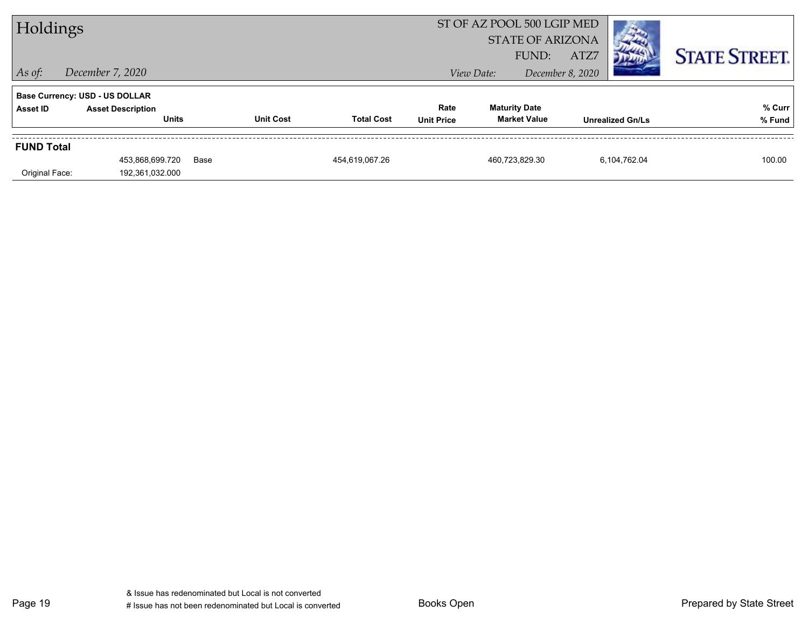| Holdings          |                                          |      |                  |                   |                           |            | ST OF AZ POOL 500 LGIP MED<br><b>STATE OF ARIZONA</b><br>FUND: | ATZ7             |                         | <b>STATE STREET.</b> |
|-------------------|------------------------------------------|------|------------------|-------------------|---------------------------|------------|----------------------------------------------------------------|------------------|-------------------------|----------------------|
| $ $ As of:        | December 7, 2020                         |      |                  |                   |                           | View Date: |                                                                | December 8, 2020 |                         |                      |
|                   | <b>Base Currency: USD - US DOLLAR</b>    |      |                  |                   |                           |            |                                                                |                  |                         |                      |
| Asset ID          | <b>Asset Description</b><br><b>Units</b> |      | <b>Unit Cost</b> | <b>Total Cost</b> | Rate<br><b>Unit Price</b> |            | <b>Maturity Date</b><br><b>Market Value</b>                    |                  | <b>Unrealized Gn/Ls</b> | % Curr<br>% Fund     |
| <b>FUND Total</b> |                                          |      |                  |                   |                           |            |                                                                |                  |                         |                      |
| Original Face:    | 453,868,699.720<br>192,361,032.000       | Base |                  | 454,619,067.26    |                           |            | 460,723,829.30                                                 |                  | 6,104,762.04            | 100.00               |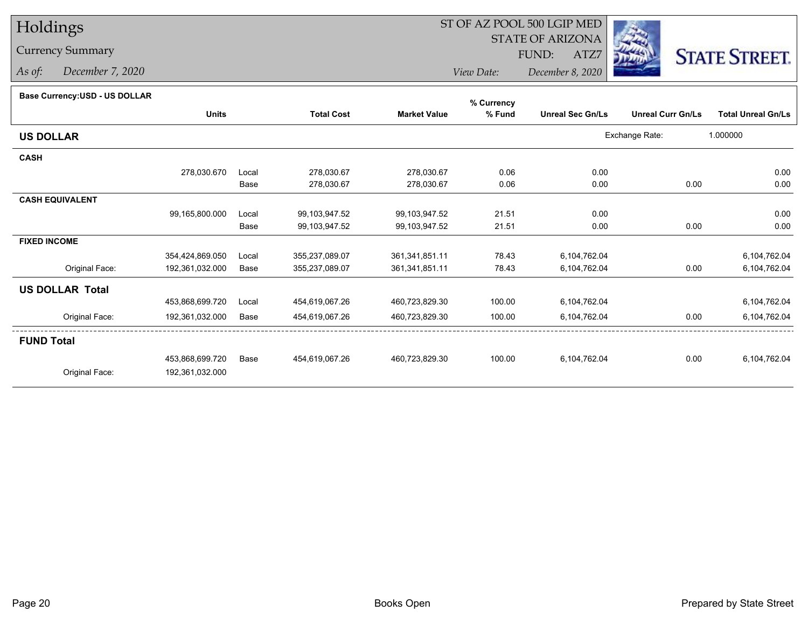### Currency Summary

*As of: December 7, 2020*

## ST OF AZ POOL 500 LGIP MED

 STATE OF ARIZONAFUND:

ATZ7



*View Date:December 8, 2020*

#### **Base Currency:USD - US DOLLAR**

|                        |                 |       |                   |                     | % Currency |                         |                          |                           |
|------------------------|-----------------|-------|-------------------|---------------------|------------|-------------------------|--------------------------|---------------------------|
|                        | <b>Units</b>    |       | <b>Total Cost</b> | <b>Market Value</b> | % Fund     | <b>Unreal Sec Gn/Ls</b> | <b>Unreal Curr Gn/Ls</b> | <b>Total Unreal Gn/Ls</b> |
| <b>US DOLLAR</b>       |                 |       |                   |                     |            |                         | Exchange Rate:           | 1.000000                  |
| <b>CASH</b>            |                 |       |                   |                     |            |                         |                          |                           |
|                        | 278,030.670     | Local | 278,030.67        | 278,030.67          | 0.06       | 0.00                    |                          | 0.00                      |
|                        |                 | Base  | 278,030.67        | 278,030.67          | 0.06       | 0.00                    | 0.00                     | 0.00                      |
| <b>CASH EQUIVALENT</b> |                 |       |                   |                     |            |                         |                          |                           |
|                        | 99,165,800.000  | Local | 99,103,947.52     | 99,103,947.52       | 21.51      | 0.00                    |                          | 0.00                      |
|                        |                 | Base  | 99,103,947.52     | 99,103,947.52       | 21.51      | 0.00                    | 0.00                     | 0.00                      |
| <b>FIXED INCOME</b>    |                 |       |                   |                     |            |                         |                          |                           |
|                        | 354,424,869.050 | Local | 355,237,089.07    | 361,341,851.11      | 78.43      | 6,104,762.04            |                          | 6,104,762.04              |
| Original Face:         | 192,361,032.000 | Base  | 355,237,089.07    | 361, 341, 851.11    | 78.43      | 6,104,762.04            | 0.00                     | 6,104,762.04              |
| <b>US DOLLAR Total</b> |                 |       |                   |                     |            |                         |                          |                           |
|                        | 453,868,699.720 | Local | 454,619,067.26    | 460,723,829.30      | 100.00     | 6,104,762.04            |                          | 6,104,762.04              |
| Original Face:         | 192,361,032.000 | Base  | 454,619,067.26    | 460,723,829.30      | 100.00     | 6,104,762.04            | 0.00                     | 6,104,762.04              |
| <b>FUND Total</b>      |                 |       |                   |                     |            |                         |                          |                           |
|                        | 453,868,699.720 | Base  | 454,619,067.26    | 460,723,829.30      | 100.00     | 6,104,762.04            | 0.00                     | 6,104,762.04              |
| Original Face:         | 192,361,032.000 |       |                   |                     |            |                         |                          |                           |
|                        |                 |       |                   |                     |            |                         |                          |                           |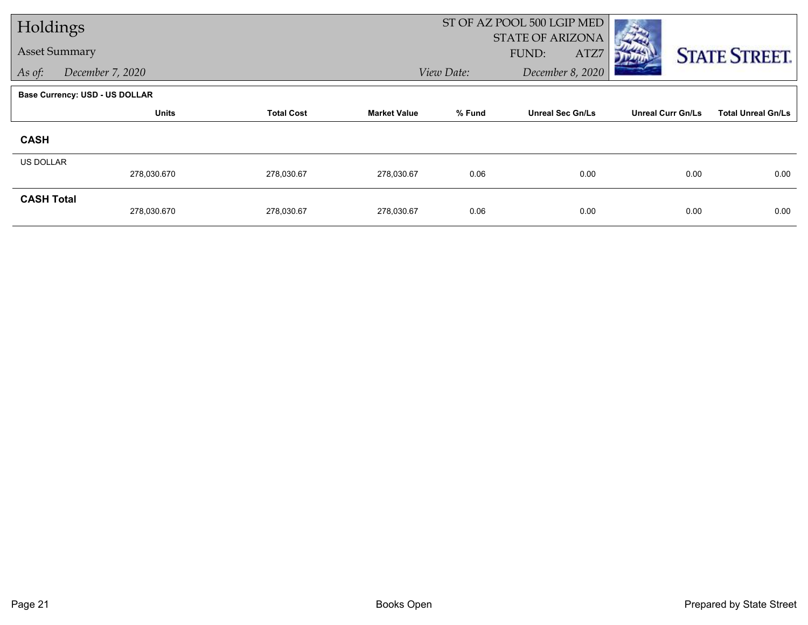| Holdings          |                                       |                   |                     |            | ST OF AZ POOL 500 LGIP MED               |                          |                           |
|-------------------|---------------------------------------|-------------------|---------------------|------------|------------------------------------------|--------------------------|---------------------------|
|                   | <b>Asset Summary</b>                  |                   |                     |            | <b>STATE OF ARIZONA</b><br>FUND:<br>ATZ7 |                          | <b>STATE STREET.</b>      |
| As of:            | December 7, 2020                      |                   |                     | View Date: | December 8, 2020                         |                          |                           |
|                   | <b>Base Currency: USD - US DOLLAR</b> |                   |                     |            |                                          |                          |                           |
|                   | <b>Units</b>                          | <b>Total Cost</b> | <b>Market Value</b> | % Fund     | <b>Unreal Sec Gn/Ls</b>                  | <b>Unreal Curr Gn/Ls</b> | <b>Total Unreal Gn/Ls</b> |
| <b>CASH</b>       |                                       |                   |                     |            |                                          |                          |                           |
| <b>US DOLLAR</b>  |                                       |                   |                     |            |                                          |                          |                           |
|                   | 278,030.670                           | 278,030.67        | 278,030.67          | 0.06       | 0.00                                     | 0.00                     | 0.00                      |
| <b>CASH Total</b> | 278,030.670                           | 278,030.67        | 278,030.67          | 0.06       | 0.00                                     | 0.00                     | 0.00                      |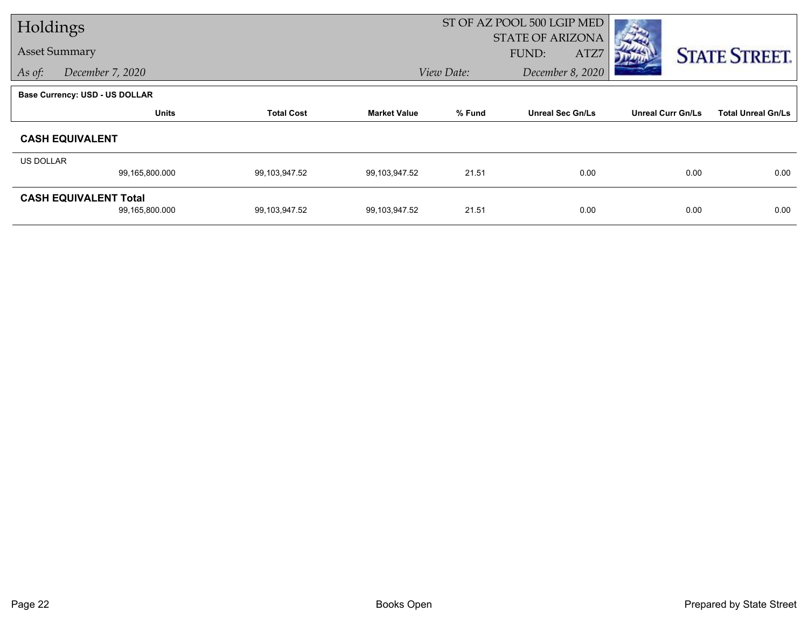| Holdings  |                                                |                   |                     | ST OF AZ POOL 500 LGIP MED     |                                          |                          |                           |
|-----------|------------------------------------------------|-------------------|---------------------|--------------------------------|------------------------------------------|--------------------------|---------------------------|
|           | <b>Asset Summary</b>                           |                   |                     |                                | <b>STATE OF ARIZONA</b><br>FUND:<br>ATZ7 |                          | <b>STATE STREET.</b>      |
| As of:    | December 7, 2020                               |                   |                     | December 8, 2020<br>View Date: |                                          |                          |                           |
|           | <b>Base Currency: USD - US DOLLAR</b>          |                   |                     |                                |                                          |                          |                           |
|           | <b>Units</b>                                   | <b>Total Cost</b> | <b>Market Value</b> | % Fund                         | <b>Unreal Sec Gn/Ls</b>                  | <b>Unreal Curr Gn/Ls</b> | <b>Total Unreal Gn/Ls</b> |
|           | <b>CASH EQUIVALENT</b>                         |                   |                     |                                |                                          |                          |                           |
| US DOLLAR |                                                |                   |                     |                                |                                          |                          |                           |
|           | 99,165,800.000                                 | 99,103,947.52     | 99.103,947.52       | 21.51                          | 0.00                                     | 0.00                     | 0.00                      |
|           | <b>CASH EQUIVALENT Total</b><br>99,165,800.000 | 99,103,947.52     | 99.103,947.52       | 21.51                          | 0.00                                     | 0.00                     | 0.00                      |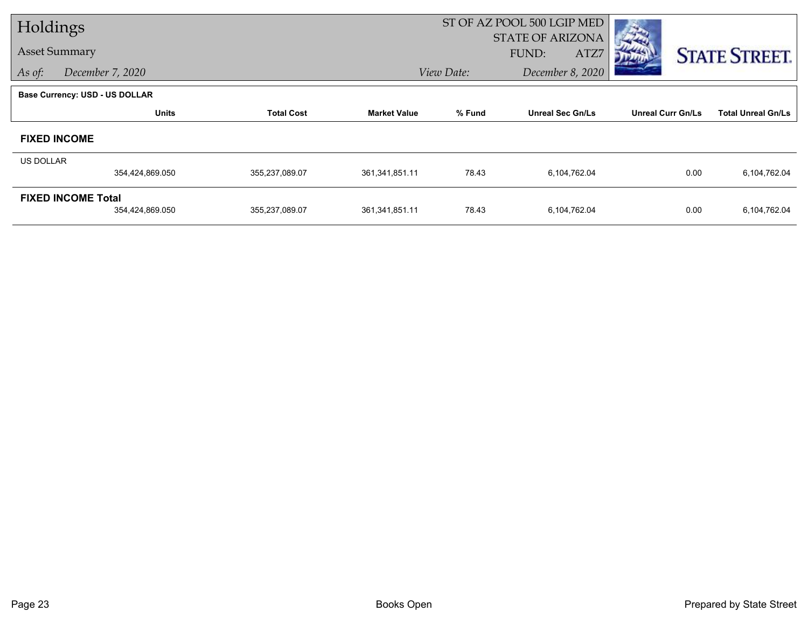| Holdings             |                                       |                   | ST OF AZ POOL 500 LGIP MED |                                  |                         |                          |                           |  |
|----------------------|---------------------------------------|-------------------|----------------------------|----------------------------------|-------------------------|--------------------------|---------------------------|--|
| <b>Asset Summary</b> |                                       |                   |                            | <b>STATE OF ARIZONA</b><br>FUND: |                         |                          |                           |  |
|                      |                                       |                   |                            |                                  | ATZ7                    |                          | <b>STATE STREET.</b>      |  |
| As of:               | December 7, 2020                      |                   |                            | View Date:                       | December 8, 2020        |                          |                           |  |
|                      | <b>Base Currency: USD - US DOLLAR</b> |                   |                            |                                  |                         |                          |                           |  |
|                      | <b>Units</b>                          | <b>Total Cost</b> | <b>Market Value</b>        | % Fund                           | <b>Unreal Sec Gn/Ls</b> | <b>Unreal Curr Gn/Ls</b> | <b>Total Unreal Gn/Ls</b> |  |
|                      | <b>FIXED INCOME</b>                   |                   |                            |                                  |                         |                          |                           |  |
| <b>US DOLLAR</b>     |                                       |                   |                            |                                  |                         |                          |                           |  |
|                      | 354,424,869.050                       | 355,237,089.07    | 361,341,851.11             | 78.43                            | 6,104,762.04            | 0.00                     | 6,104,762.04              |  |
|                      | <b>FIXED INCOME Total</b>             |                   |                            |                                  |                         |                          |                           |  |
|                      | 354,424,869.050                       | 355,237,089.07    | 361,341,851.11             | 78.43                            | 6,104,762.04            | 0.00                     | 6,104,762.04              |  |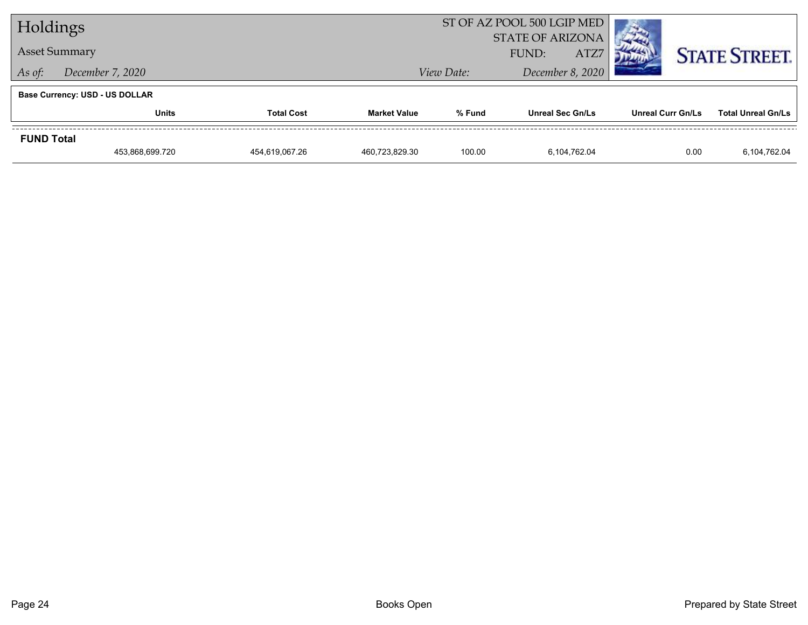| Holdings          |                                       |                   |                     | ST OF AZ POOL 500 LGIP MED |                                  |      |                          |                           |
|-------------------|---------------------------------------|-------------------|---------------------|----------------------------|----------------------------------|------|--------------------------|---------------------------|
|                   | <b>Asset Summary</b>                  |                   |                     |                            | <b>STATE OF ARIZONA</b><br>FUND: | ATZ7 |                          | <b>STATE STREET.</b>      |
| As of:            | December 7, 2020                      | View Date:        |                     | December 8, 2020           |                                  |      |                          |                           |
|                   | <b>Base Currency: USD - US DOLLAR</b> |                   |                     |                            |                                  |      |                          |                           |
|                   | <b>Units</b>                          | <b>Total Cost</b> | <b>Market Value</b> | % Fund                     | <b>Unreal Sec Gn/Ls</b>          |      | <b>Unreal Curr Gn/Ls</b> | <b>Total Unreal Gn/Ls</b> |
| <b>FUND Total</b> |                                       |                   |                     |                            |                                  |      |                          |                           |
|                   | 453,868,699.720                       | 454.619.067.26    | 460.723.829.30      | 100.00                     | 6.104.762.04                     |      | 0.00                     | 6,104,762.04              |